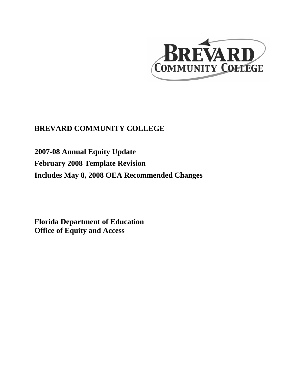

# **BREVARD COMMUNITY COLLEGE**

**2007-08 Annual Equity Update February 2008 Template Revision Includes May 8, 2008 OEA Recommended Changes** 

**Florida Department of Education Office of Equity and Access**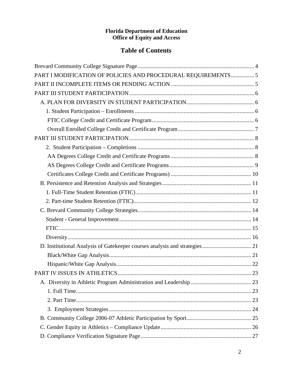#### **Florida Department of Education Office of Equity and Access**

# **Table of Contents**

| PART I MODIFICATION OF POLICIES AND PROCEDURAL REQUIREMENTS 5 |  |
|---------------------------------------------------------------|--|
|                                                               |  |
|                                                               |  |
|                                                               |  |
|                                                               |  |
|                                                               |  |
|                                                               |  |
|                                                               |  |
|                                                               |  |
|                                                               |  |
|                                                               |  |
|                                                               |  |
|                                                               |  |
|                                                               |  |
|                                                               |  |
|                                                               |  |
|                                                               |  |
|                                                               |  |
|                                                               |  |
|                                                               |  |
|                                                               |  |
|                                                               |  |
|                                                               |  |
|                                                               |  |
|                                                               |  |
|                                                               |  |
|                                                               |  |
|                                                               |  |
|                                                               |  |
|                                                               |  |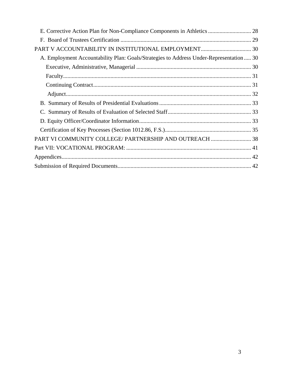| A. Employment Accountability Plan: Goals/Strategies to Address Under-Representation  30 |  |
|-----------------------------------------------------------------------------------------|--|
|                                                                                         |  |
|                                                                                         |  |
|                                                                                         |  |
|                                                                                         |  |
|                                                                                         |  |
|                                                                                         |  |
|                                                                                         |  |
|                                                                                         |  |
| PART VI COMMUNITY COLLEGE/ PARTNERSHIP AND OUTREACH  38                                 |  |
|                                                                                         |  |
|                                                                                         |  |
|                                                                                         |  |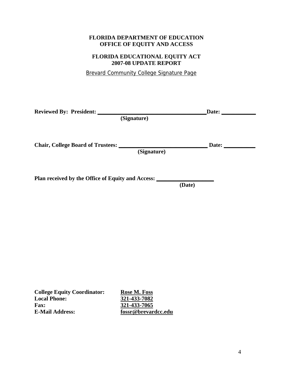## <span id="page-3-0"></span>**FLORIDA DEPARTMENT OF EDUCATION OFFICE OF EQUITY AND ACCESS**

## **FLORIDA EDUCATIONAL EQUITY ACT 2007-08 UPDATE REPORT**

Brevard Community College Signature Page

| <b>Reviewed By: President:</b>                    |             | Date: |
|---------------------------------------------------|-------------|-------|
|                                                   | (Signature) |       |
|                                                   |             |       |
|                                                   |             |       |
| <b>Chair, College Board of Trustees:</b>          |             | Date: |
|                                                   | (Signature) |       |
|                                                   |             |       |
|                                                   |             |       |
| Plan received by the Office of Equity and Access: |             |       |
|                                                   | (Date)      |       |

| <b>College Equity Coordinator:</b> |
|------------------------------------|
| <b>Local Phone:</b>                |
| <b>Fax:</b>                        |
| <b>E-Mail Address:</b>             |

**Rose M. Foss Local Phone: 321-433-7082 Fax: 321-433-7065**  $f$ <sub>0ssr</sub>@brevardcc.edu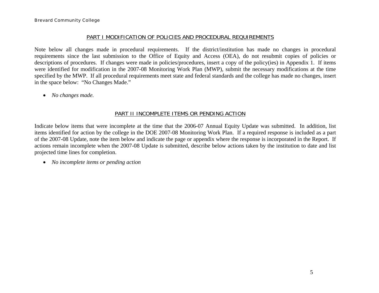#### PART I MODIFICATION OF POLICIES AND PROCEDURAL REQUIREMENTS

Note below all changes made in procedural requirements. If the district/institution has made no changes in procedural requirements since the last submission to the Office of Equity and Access (OEA), do not resubmit copies of policies or descriptions of procedures. If changes were made in policies/procedures, insert a copy of the policy(ies) in Appendix 1. If items were identified for modification in the 2007-08 Monitoring Work Plan (MWP), submit the necessary modifications at the time specified by the MWP. If all procedural requirements meet state and federal standards and the college has made no changes, insert in the space below: "No Changes Made."

• *No changes made.* 

#### PART II INCOMPLETE ITEMS OR PENDING ACTION

Indicate below items that were incomplete at the time that the 2006-07 Annual Equity Update was submitted. In addition, list items identified for action by the college in the DOE 2007-08 Monitoring Work Plan. If a required response is included as a part of the 2007-08 Update, note the item below and indicate the page or appendix where the response is incorporated in the Report. If actions remain incomplete when the 2007-08 Update is submitted, describe below actions taken by the institution to date and list projected time lines for completion.

<span id="page-4-0"></span>• *No incomplete items or pending action*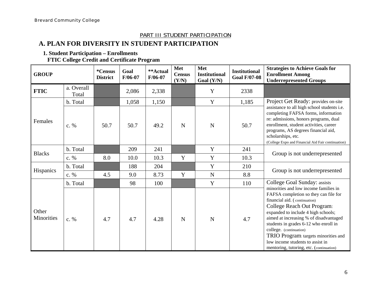# PART III STUDENT PARTICIPATION

# **A. PLAN FOR DIVERSITY IN STUDENT PARTICIPATION**

## **1. Student Participation – Enrollments FTIC College Credit and Certificate Program**

<span id="page-5-0"></span>

| <b>GROUP</b>        |                     | *Census<br><b>District</b> | Goal<br>$F/06-07$ | **Actual<br>$F/06-07$ | Met<br><b>Census</b><br>(Y/N) | Met<br><b>Institutional</b><br>Goal $(Y/N)$ | <b>Institutional</b><br><b>Goal F/07-08</b> | <b>Strategies to Achieve Goals for</b><br><b>Enrollment Among</b><br><b>Underrepresented Groups</b>                                                                                                                                                                                                                                                                                                                        |
|---------------------|---------------------|----------------------------|-------------------|-----------------------|-------------------------------|---------------------------------------------|---------------------------------------------|----------------------------------------------------------------------------------------------------------------------------------------------------------------------------------------------------------------------------------------------------------------------------------------------------------------------------------------------------------------------------------------------------------------------------|
| <b>FTIC</b>         | a. Overall<br>Total |                            | 2,086             | 2,338                 |                               | Y                                           | 2338                                        |                                                                                                                                                                                                                                                                                                                                                                                                                            |
|                     | b. Total            |                            | 1,058             | 1,150                 |                               | Y                                           | 1,185                                       | Project Get Ready: provides on-site                                                                                                                                                                                                                                                                                                                                                                                        |
| Females             | $c. \%$             | 50.7                       | 50.7              | 49.2                  | N                             | $\mathbf N$                                 | 50.7                                        | assistance to all high school students i.e.<br>completing FAFSA forms, information<br>re: admissions, honors programs, dual<br>enrollment, student activities, career<br>programs, AS degrees financial aid,<br>scholarships, etc.<br>(College Expo and Financial Aid Fair continuation)                                                                                                                                   |
|                     | b. Total            |                            | 209               | 241                   |                               | Y                                           | 241                                         |                                                                                                                                                                                                                                                                                                                                                                                                                            |
| <b>Blacks</b>       | c. %                | 8.0                        | 10.0              | 10.3                  | Y                             | Y                                           | 10.3                                        | Group is not underrepresented                                                                                                                                                                                                                                                                                                                                                                                              |
|                     | b. Total            |                            | 188               | 204                   |                               | Y                                           | 210                                         |                                                                                                                                                                                                                                                                                                                                                                                                                            |
| Hispanics           | c. $%$              | 4.5                        | 9.0               | 8.73                  | Y                             | $\mathbf N$                                 | 8.8                                         | Group is not underrepresented                                                                                                                                                                                                                                                                                                                                                                                              |
|                     | b. Total            |                            | 98                | 100                   |                               | $\mathbf Y$                                 | 110                                         | College Goal Sunday: assists                                                                                                                                                                                                                                                                                                                                                                                               |
| Other<br>Minorities | $c. \%$             | 4.7                        | 4.7               | 4.28                  | N                             | N                                           | 4.7                                         | minorities and low income families in<br>FAFSA completion so they can file for<br>financial aid. (continuation)<br>College Reach Out Program:<br>expanded to include 4 high schools;<br>aimed at increasing % of disadvantaged<br>students in grades 6-12 who enroll in<br>college. (continuation)<br>TRIO Program: targets minorities and<br>low income students to assist in<br>mentoring, tutoring, etc. (continuation) |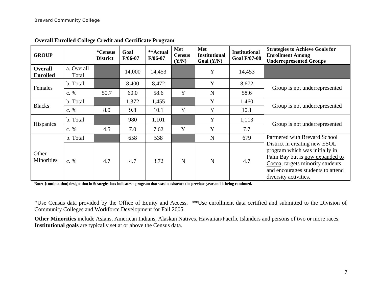| <b>GROUP</b>                      |                     | *Census<br><b>District</b> | Goal<br>$F/06-07$ | **Actual<br>$F/06-07$ | Met<br><b>Census</b><br>(Y/N) | Met<br><b>Institutional</b><br>Goal (Y/N) | <b>Institutional</b><br><b>Goal F/07-08</b> | <b>Strategies to Achieve Goals for</b><br><b>Enrollment Among</b><br><b>Underrepresented Groups</b>                                                                                                  |  |  |
|-----------------------------------|---------------------|----------------------------|-------------------|-----------------------|-------------------------------|-------------------------------------------|---------------------------------------------|------------------------------------------------------------------------------------------------------------------------------------------------------------------------------------------------------|--|--|
| <b>Overall</b><br><b>Enrolled</b> | a. Overall<br>Total |                            | 14,000            | 14,453                |                               | Y                                         | 14,453                                      |                                                                                                                                                                                                      |  |  |
| Females                           | b. Total            |                            | 8,400             | 8,472                 |                               | Y                                         | 8,672                                       | Group is not underrepresented                                                                                                                                                                        |  |  |
|                                   | c. $%$              | 50.7                       | 60.0              | 58.6                  | Y                             | $\mathbf N$                               | 58.6                                        |                                                                                                                                                                                                      |  |  |
| <b>Blacks</b>                     | b. Total            |                            | 1,372             | 1,455                 |                               | Y                                         | 1,460                                       |                                                                                                                                                                                                      |  |  |
|                                   | c. $%$              | 8.0                        | 9.8               | 10.1                  | Y                             | Y                                         | 10.1                                        | Group is not underrepresented                                                                                                                                                                        |  |  |
| Hispanics                         | b. Total            |                            | 980               | 1,101                 |                               | Y                                         | 1,113                                       | Group is not underrepresented                                                                                                                                                                        |  |  |
|                                   | c. $%$              | 4.5                        | 7.0               | 7.62                  | Y                             | Y                                         | 7.7                                         |                                                                                                                                                                                                      |  |  |
|                                   | b. Total            |                            | 658               | 538                   |                               | $\mathbf N$                               | 679                                         | Partnered with Brevard School                                                                                                                                                                        |  |  |
| Other<br><b>Minorities</b>        | c. $%$              | 4.7                        | 4.7               | 3.72                  | $\mathbf N$                   | N                                         | 4.7                                         | District in creating new ESOL<br>program which was initially in<br>Palm Bay but is now expanded to<br>Cocoa; targets minority students<br>and encourages students to attend<br>diversity activities. |  |  |

#### **Overall Enrolled College Credit and Certificate Program**

**Note: (continuation) designation in Strategies box indicates a program that was in existence the previous year and is being continued.**

\*Use Census data provided by the Office of Equity and Access. \*\*Use enrollment data certified and submitted to the Division of Community Colleges and Workforce Development for Fall 2005.

<span id="page-6-0"></span>**Other Minorities** include Asians, American Indians, Alaskan Natives, Hawaiian/Pacific Islanders and persons of two or more races. **Institutional goals** are typically set at or above the Census data.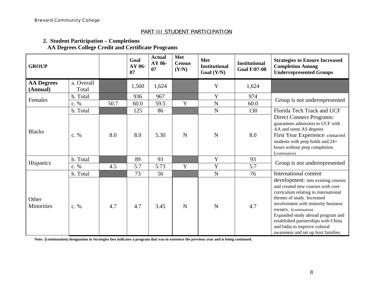## PART III STUDENT PARTICIPATION

 **2. Student Participation – Completions AA Degrees College Credit and Certificate Programs** 

| <b>GROUP</b>                  |                     |      | Goal<br>AY 06-<br>07 | <b>Actual</b><br>AY 06-<br>07 | Met<br><b>Census</b><br>(Y/N) | Met<br><b>Institutional</b><br>Goal $(Y/N)$ | <b>Institutional</b><br><b>Goal F/07-08</b> | <b>Strategies to Ensure Increased</b><br><b>Completion Among</b><br><b>Underrepresented Groups</b>                                                                                                                                                                                                                                                                |
|-------------------------------|---------------------|------|----------------------|-------------------------------|-------------------------------|---------------------------------------------|---------------------------------------------|-------------------------------------------------------------------------------------------------------------------------------------------------------------------------------------------------------------------------------------------------------------------------------------------------------------------------------------------------------------------|
| <b>AA Degrees</b><br>(Annual) | a. Overall<br>Total |      | 1,560                | 1,624                         |                               | Y                                           | 1,624                                       |                                                                                                                                                                                                                                                                                                                                                                   |
| Females                       | b. Total<br>c. %    | 50.7 | 936<br>60.0          | 967<br>59.5                   | Y                             | Y<br>$\mathbf N$                            | 974<br>60.0                                 | Group is not underrepresented                                                                                                                                                                                                                                                                                                                                     |
|                               | b. Total            |      | 125                  | 86                            |                               | ${\bf N}$                                   | 130                                         | Florida Tech Track and UCF                                                                                                                                                                                                                                                                                                                                        |
| <b>Blacks</b>                 | $c. \%$             | 8.0  | 8.0                  | 5.30                          | N                             | $\mathbf N$                                 | 8.0                                         | <b>Direct Connect Programs:</b><br>guarantees admission to UCF with<br>AA and some AS degrees<br>First Year Experience: contacted<br>students with prep holds and 24+<br>hours without prep completion.<br>(continuation)                                                                                                                                         |
| Hispanics                     | b. Total            |      | 89                   | 93                            |                               | Y                                           | 93                                          | Group is not underrepresented                                                                                                                                                                                                                                                                                                                                     |
|                               | c. %                | 4.5  | 5.7                  | 5.73                          | Y                             | Y                                           | 5.7                                         |                                                                                                                                                                                                                                                                                                                                                                   |
|                               | b. Total            |      | 73                   | 56                            |                               | ${\bf N}$                                   | 76                                          | International content                                                                                                                                                                                                                                                                                                                                             |
| Other<br><b>Minorities</b>    | c. %                | 4.7  | 4.7                  | 3.45                          | N                             | $\mathbf N$                                 | 4.7                                         | development: into existing courses<br>and created new courses with core<br>curriculum relating to international<br>themes of study. Increased<br>involvement with minority business<br>owners. (continuation)<br>Expanded study abroad program and<br>established partnerships with China<br>and India to improve cultural<br>awareness and set up host families. |

<span id="page-7-0"></span>**Note: (continuation) designation in Strategies box indicates a program that was in existence the previous year and is being continued.**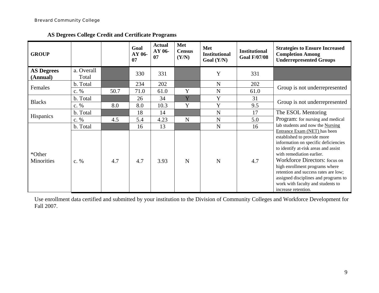| <b>GROUP</b>                  |                     |      | Goal<br>AY 06-<br>07 | <b>Actual</b><br>AY 06-<br>07 | Met<br><b>Census</b><br>(Y/N) | Met<br><b>Institutional</b><br>Goal $(Y/N)$ | <b>Institutional</b><br><b>Goal F/07/08</b> | <b>Strategies to Ensure Increased</b><br><b>Completion Among</b><br><b>Underrepresented Groups</b>                                                                                                                                                                                                                                                                                                                          |  |
|-------------------------------|---------------------|------|----------------------|-------------------------------|-------------------------------|---------------------------------------------|---------------------------------------------|-----------------------------------------------------------------------------------------------------------------------------------------------------------------------------------------------------------------------------------------------------------------------------------------------------------------------------------------------------------------------------------------------------------------------------|--|
| <b>AS Degrees</b><br>(Annual) | a. Overall<br>Total |      | 330                  | 331                           |                               | Y                                           | 331                                         |                                                                                                                                                                                                                                                                                                                                                                                                                             |  |
| Females                       | b. Total<br>c. %    | 50.7 | 234<br>71.0          | 202<br>61.0                   | Y                             | $\mathbf N$<br>$\mathbf N$                  | 202<br>61.0                                 | Group is not underrepresented                                                                                                                                                                                                                                                                                                                                                                                               |  |
| <b>Blacks</b>                 | b. Total<br>c. %    | 8.0  | 26<br>8.0            | 34<br>10.3                    | Y<br>Y                        | Y<br>Y                                      | 31<br>9.5                                   | Group is not underrepresented                                                                                                                                                                                                                                                                                                                                                                                               |  |
| <b>Hispanics</b>              | b. Total<br>c. %    | 4.5  | 18<br>5.4            | 14<br>4.23                    | N                             | N<br>$\mathbf N$                            | 17<br>5.0                                   | The ESOL Mentoring<br>Program: for nursing and medical                                                                                                                                                                                                                                                                                                                                                                      |  |
| *Other<br>Minorities          | b. Total<br>c. %    | 4.7  | 16<br>4.7            | 13<br>3.93                    | N                             | $\mathbf N$<br>N                            | 16<br>4.7                                   | lab students and now the Nursing<br>Entrance Exam (NET) has been<br>established to provide more<br>information on specific deficiencies<br>to identify at-risk areas and assist<br>with remediation earlier.<br>Workforce Directors: focus on<br>high enrollment programs where<br>retention and success rates are low;<br>assigned disciplines and programs to<br>work with faculty and students to<br>increase retention. |  |

## **AS Degrees College Credit and Certificate Programs**

<span id="page-8-0"></span>Use enrollment data certified and submitted by your institution to the Division of Community Colleges and Workforce Development for Fall 2007.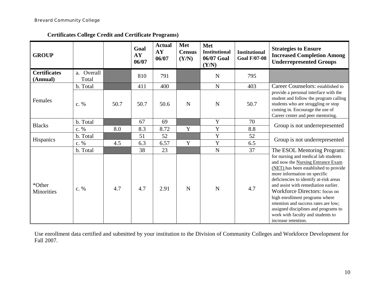| <b>GROUP</b>                    |                     |      | Goal<br>AY<br>06/07 | <b>Actual</b><br>AY<br>06/07 | Met<br><b>Census</b><br>(Y/N) | Met<br><b>Institutional</b><br>06/07 Goal<br>(Y/N) | <b>Institutional</b><br><b>Goal F/07-08</b> | <b>Strategies to Ensure</b><br><b>Increased Completion Among</b><br><b>Underrepresented Groups</b>                                                                                                                                                                                                                                                                                                                                                  |  |
|---------------------------------|---------------------|------|---------------------|------------------------------|-------------------------------|----------------------------------------------------|---------------------------------------------|-----------------------------------------------------------------------------------------------------------------------------------------------------------------------------------------------------------------------------------------------------------------------------------------------------------------------------------------------------------------------------------------------------------------------------------------------------|--|
| <b>Certificates</b><br>(Annual) | a. Overall<br>Total |      | 810                 | 791                          |                               | N                                                  | 795                                         |                                                                                                                                                                                                                                                                                                                                                                                                                                                     |  |
|                                 | b. Total            |      | 411                 | 400                          |                               | $\mathbf N$                                        | 403                                         | Career Counselors: established to                                                                                                                                                                                                                                                                                                                                                                                                                   |  |
| Females                         | c. $%$              | 50.7 | 50.7                | 50.6                         | $\mathbf N$                   | N                                                  | 50.7                                        | provide a personal interface with the<br>student and follow the program calling<br>students who are struggling or stop<br>coming in. Encourage the use of<br>Career center and peer mentoring.                                                                                                                                                                                                                                                      |  |
|                                 | b. Total            |      | 67                  | 69                           |                               | $\mathbf Y$                                        | 70                                          |                                                                                                                                                                                                                                                                                                                                                                                                                                                     |  |
| <b>Blacks</b>                   | c. %                | 8.0  | 8.3                 | 8.72                         | Y                             | Y                                                  | 8.8                                         | Group is not underrepresented                                                                                                                                                                                                                                                                                                                                                                                                                       |  |
|                                 | b. Total            |      | 51                  | 52                           |                               | $\mathbf Y$                                        | 52                                          |                                                                                                                                                                                                                                                                                                                                                                                                                                                     |  |
| Hispanics                       | c. %                | 4.5  | 6.3                 | 6.57                         | Y                             | $\mathbf Y$                                        | 6.5                                         | Group is not underrepresented                                                                                                                                                                                                                                                                                                                                                                                                                       |  |
|                                 | b. Total            |      | 38                  | 23                           |                               | N                                                  | 37                                          | The ESOL Mentoring Program:                                                                                                                                                                                                                                                                                                                                                                                                                         |  |
| *Other<br>Minorities            | c. %                | 4.7  | 4.7                 | 2.91                         | $\mathbf N$                   | N                                                  | 4.7                                         | for nursing and medical lab students<br>and now the Nursing Entrance Exam<br>(NET) has been established to provide<br>more information on specific<br>deficiencies to identify at-risk areas<br>and assist with remediation earlier.<br>Workforce Directors: focus on<br>high enrollment programs where<br>retention and success rates are low;<br>assigned disciplines and programs to<br>work with faculty and students to<br>increase retention. |  |

## **Certificates College Credit and Certificate Programs)**

<span id="page-9-0"></span>Use enrollment data certified and submitted by your institution to the Division of Community Colleges and Workforce Development for Fall 2007.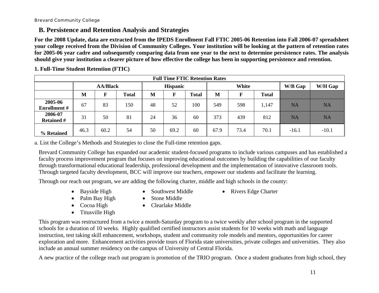# **B. Persistence and Retention Analysis and Strategies**

**For the 2008 Update, data are extracted from the IPEDS Enrollment Fall FTIC 2005-06 Retention into Fall 2006-07 spreadsheet your college received from the Division of Community Colleges. Your institution will be looking at the pattern of retention rates for 2005-06 year cadre and subsequently comparing data from one year to the next to determine persistence rates. The analysis should give your institution a clearer picture of how effective the college has been in supporting persistence and retention.** 

|                                | <b>Full Time FTIC Retention Rates</b> |                 |              |    |                 |              |      |       |              |         |           |
|--------------------------------|---------------------------------------|-----------------|--------------|----|-----------------|--------------|------|-------|--------------|---------|-----------|
|                                |                                       | <b>AA/Black</b> |              |    | <b>Hispanic</b> |              |      | White |              |         | W/H Gap   |
|                                | M                                     | F               | <b>Total</b> | M  | F               | <b>Total</b> | M    | F     | <b>Total</b> |         |           |
| 2005-06<br><b>Enrollment</b> # | 67                                    | 83              | 150          | 48 | 52              | 100          | 549  | 598   | 1,147        | NA      | <b>NA</b> |
| 2006-07<br><b>Retained #</b>   | 31                                    | 50              | 81           | 24 | 36              | 60           | 373  | 439   | 812          | NA      | <b>NA</b> |
| % Retained                     | 46.3                                  | 60.2            | 54           | 50 | 69.2            | 60           | 67.9 | 73.4  | 70.1         | $-16.1$ | $-10.1$   |

**1. Full-Time Student Retention (FTIC)** 

a. List the College's Methods and Strategies to close the Full-time retention gaps.

 Brevard Community College has expanded our academic student-focused programs to include various campuses and has established a faculty process improvement program that focuses on improving educational outcomes by building the capabilities of our faculty through transformational educational leadership, professional development and the implementation of innovative classroom tools. Through targeted faculty development, BCC will improve our teachers, empower our students and facilitate the learning.

Through our reach out program, we are adding the following charter, middle and high schools in the county:

• Bayside High

- 
- Southwest Middle Rivers Edge Charter
- 
- Palm Bay High Stone Middle
- Cocoa High
- $\bullet$  Clearlake Middle
- Titusville High

This program was restructured from a twice a month-Saturday program to a twice weekly after school program in the supported schools for a duration of 10 weeks. Highly qualified certified instructors assist students for 10 weeks with math and language instruction, test taking skill enhancement, workshops, student and community role models and mentors, opportunities for career exploration and more. Enhancement activities provide tours of Florida state universities, private colleges and universities. They also include an annual summer residency on the campus of University of Central Florida.

<span id="page-10-0"></span>A new practice of the college reach out program is promotion of the TRIO program. Once a student graduates from high school, they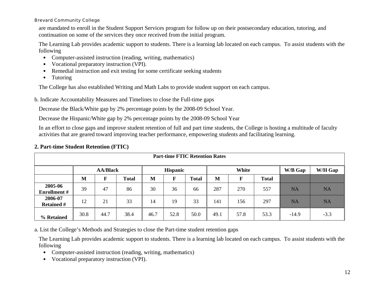are mandated to enroll in the Student Support Services program for follow up on their postsecondary education, tutoring, and continuation on some of the services they once received from the initial program.

The Learning Lab provides academic support to students. There is a learning lab located on each campus. To assist students with the following

- Computer-assisted instruction (reading, writing, mathematics)
- $\bullet$ Vocational preparatory instruction (VPI).
- Remedial instruction and exit testing for some certificate seeking students
- Tutoring

The College has also established Writing and Math Labs to provide student support on each campus.

b. Indicate Accountability Measures and Timelines to close the Full-time gaps

Decrease the Black/White gap by 2% percentage points by the 2008-09 School Year.

Decrease the Hispanic/White gap by 2% percentage points by the 2008-09 School Year

In an effort to close gaps and improve student retention of full and part time students, the College is hosting a multitude of faculty activities that are geared toward improving teacher performance, empowering students and facilitating learning.

## **2. Part-time Student Retention (FTIC)**

| <b>Part-time FTIC Retention Rates</b> |                                             |      |              |      |              |              |      |         |              |           |           |
|---------------------------------------|---------------------------------------------|------|--------------|------|--------------|--------------|------|---------|--------------|-----------|-----------|
|                                       | White<br><b>AA/Black</b><br><b>Hispanic</b> |      |              |      |              |              |      | W/B Gap | W/H Gap      |           |           |
|                                       | M                                           | F    | <b>Total</b> | M    | $\mathbf{F}$ | <b>Total</b> | M    | F       | <b>Total</b> |           |           |
| 2005-06<br><b>Enrollment</b> #        | 39                                          | 47   | 86           | 30   | 36           | 66           | 287  | 270     | 557          | <b>NA</b> | <b>NA</b> |
| 2006-07<br><b>Retained #</b>          | 12                                          | 21   | 33           | 14   | 19           | 33           | 141  | 156     | 297          | <b>NA</b> | <b>NA</b> |
| % Retained                            | 30.8                                        | 44.7 | 38.4         | 46.7 | 52.8         | 50.0         | 49.1 | 57.8    | 53.3         | $-14.9$   | $-3.3$    |

a. List the College's Methods and Strategies to close the Part-time student retention gaps

The Learning Lab provides academic support to students. There is a learning lab located on each campus. To assist students with the following

- Computer-assisted instruction (reading, writing, mathematics)
- <span id="page-11-0"></span>• Vocational preparatory instruction (VPI).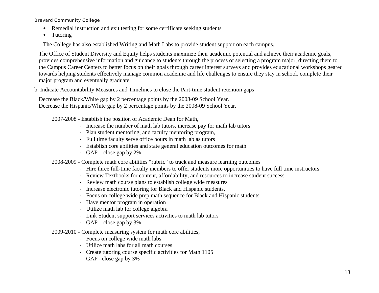- Remedial instruction and exit testing for some certificate seeking students
- Tutoring

The College has also established Writing and Math Labs to provide student support on each campus.

The Office of Student Diversity and Equity helps students maximize their academic potential and achieve their academic goals, provides comprehensive information and guidance to students through the process of selecting a program major, directing them to the Campus Career Centers to better focus on their goals through career interest surveys and provides educational workshops geared towards helping students effectively manage common academic and life challenges to ensure they stay in school, complete their major program and eventually graduate.

b. Indicate Accountability Measures and Timelines to close the Part-time student retention gaps

 Decrease the Black/White gap by 2 percentage points by the 2008-09 School Year. Decrease the Hispanic/White gap by 2 percentage points by the 2008-09 School Year.

2007-2008 - Establish the position of Academic Dean for Math,

- ‐ Increase the number of math lab tutors, increase pay for math lab tutors
- ‐ Plan student mentoring, and faculty mentoring program,
- ‐ Full time faculty serve office hours in math lab as tutors
- ‐ Establish core abilities and state general education outcomes for math
- ‐ GAP close gap by 2%

2008-2009 - Complete math core abilities "rubric" to track and measure learning outcomes

- ‐ Hire three full-time faculty members to offer students more opportunities to have full time instructors.
- ‐ Review Textbooks for content, affordability, and resources to increase student success.
- ‐ Review math course plans to establish college wide measures
- ‐ Increase electronic tutoring for Black and Hispanic students,
- ‐ Focus on college wide prep math sequence for Black and Hispanic students
- ‐ Have mentor program in operation
- ‐ Utilize math lab for college algebra
- ‐ Link Student support services activities to math lab tutors
- ‐ GAP close gap by 3%

2009-2010 - Complete measuring system for math core abilities,

- ‐ Focus on college wide math labs
- ‐ Utilize math labs for all math courses
- ‐ Create tutoring course specific activities for Math 1105
- ‐ GAP –close gap by 3%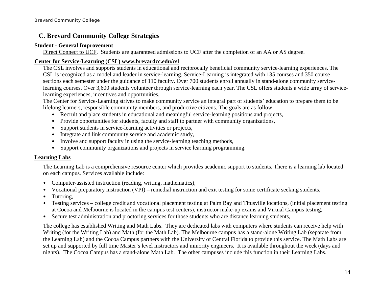# **C. Brevard Community College Strategies**

## **Student - General Improvement**

Direct Connect to UCF. Students are guaranteed admissions to UCF after the completion of an AA or AS degree.

## **Center for Service-Learning (CSL) www.brevardcc.edu/csl**

The CSL involves and supports students in educational and reciprocally beneficial community service-learning experiences. The CSL is recognized as a model and leader in service-learning. Service-Learning is integrated with 135 courses and 350 course sections each semester under the guidance of 110 faculty. Over 700 students enroll annually in stand-alone community servicelearning courses. Over 3,600 students volunteer through service-learning each year. The CSL offers students a wide array of servicelearning experiences, incentives and opportunities.

The Center for Service-Learning strives to make community service an integral part of students' education to prepare them to be lifelong learners, responsible community members, and productive citizens. The goals are as follow:

- Recruit and place students in educational and meaningful service-learning positions and projects,
- Provide opportunities for students, faculty and staff to partner with community organizations,
- •Support students in service-learning activities or projects,
- Integrate and link community service and academic study,
- Involve and support faculty in using the service-learning teaching methods,
- Support community organizations and projects in service learning programming.

## **Learning Labs**

The Learning Lab is a comprehensive resource center which provides academic support to students. There is a learning lab located on each campus. Services available include:

- •Computer-assisted instruction (reading, writing, mathematics),
- •Vocational preparatory instruction (VPI) – remedial instruction and exit testing for some certificate seeking students,
- •Tutoring,
- • Testing services – college credit and vocational placement testing at Palm Bay and Titusville locations, (initial placement testing at Cocoa and Melbourne is located in the campus test centers), instructor make-up exams and Virtual Campus testing,
- Secure test administration and proctoring services for those students who are distance learning students,

<span id="page-13-0"></span>The college has established Writing and Math Labs. They are dedicated labs with computers where students can receive help with Writing (for the Writing Lab) and Math (for the Math Lab). The Melbourne campus has a stand-alone Writing Lab (separate from the Learning Lab) and the Cocoa Campus partners with the University of Central Florida to provide this service. The Math Labs are set up and supported by full time Master's level instructors and minority engineers. It is available throughout the week (days and nights). The Cocoa Campus has a stand-alone Math Lab. The other campuses include this function in their Learning Labs.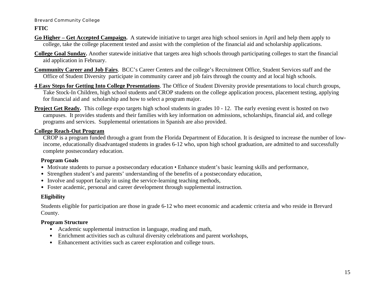**FTIC** 

- **Go Higher Get Accepted Campaign.** A statewide initiative to target area high school seniors in April and help them apply to college, take the college placement tested and assist with the completion of the financial aid and scholarship applications.
- **College Goal Sunday.** Another statewide initiative that targets area high schools through participating colleges to start the financial aid application in February.
- **Community Career and Job Fairs**. BCC's Career Centers and the college's Recruitment Office, Student Services staff and the Office of Student Diversity participate in community career and job fairs through the county and at local high schools.
- **4 Easy Steps for Getting Into College Presentations**. The Office of Student Diversity provide presentations to local church groups, Take Stock-In Children, high school students and CROP students on the college application process, placement testing, applying for financial aid and scholarship and how to select a program major.
- **Project Get Ready.** This college expo targets high school students in grades 10 12. The early evening event is hosted on two campuses. It provides students and their families with key information on admissions, scholarships, financial aid, and college programs and services. Supplemental orientations in Spanish are also provided.

## **College Reach-Out Program**

CROP is a program funded through a grant from the Florida Department of Education. It is designed to increase the number of lowincome, educationally disadvantaged students in grades 6-12 who, upon high school graduation, are admitted to and successfully complete postsecondary education.

## **Program Goals**

- Motivate students to pursue a postsecondary education Enhance student's basic learning skills and performance,
- Strengthen student's and parents' understanding of the benefits of a postsecondary education,
- Involve and support faculty in using the service-learning teaching methods,
- Foster academic, personal and career development through supplemental instruction.

# **Eligibility**

Students eligible for participation are those in grade 6-12 who meet economic and academic criteria and who reside in Brevard County.

# **Program Structure**

- Academic supplemental instruction in language, reading and math,
- Enrichment activities such as cultural diversity celebrations and parent workshops,
- <span id="page-14-0"></span>• Enhancement activities such as career exploration and college tours.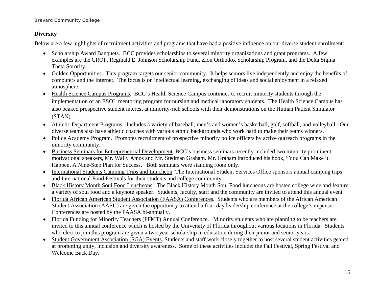## **Diversity**

Below are a few highlights of recruitment activities and programs that have had a positive influence on our diverse student enrollment:

- Scholarship Award Banquets. BCC provides scholarships to several minority organizations and grant programs. A few examples are the CROP, Reginald E. Johnson Scholarship Fund, Zion Orthodox Scholarship Program, and the Delta Sigma Theta Sorority.
- Golden Opportunities. This program targets our senior community. It helps seniors live independently and enjoy the benefits of computers and the Internet. The focus is on intellectual learning, exchanging of ideas and social enjoyment in a relaxed atmosphere.
- Health Science Campus Programs. BCC's Health Science Campus continues to recruit minority students through the implementation of an ESOL mentoring program for nursing and medical laboratory students. The Health Science Campus has also peaked prospective student interest at minority-rich schools with their demonstrations on the Human Patient Simulator (STAN).
- Athletic Department Programs. Includes a variety of baseball, men's and women's basketball, golf, softball, and volleyball. Our diverse teams also have athletic coaches with various ethnic backgrounds who work hard to make their teams winners.
- Police Academy Program. Promotes recruitment of prospective minority police officers by active outreach programs in the minority community.
- Business Seminars for Entrepreneurial Development. BCC's business seminars recently included two minority prominent motivational speakers, Mr. Wally Amos and Mr. Stedman Graham. Mr. Graham introduced his book, "You Can Make it Happen, A Nine-Step Plan for Success. Both seminars were standing room only.
- International Students Camping Trips and Luncheon. The International Student Services Office sponsors annual camping trips and International Food Festivals for their students and college community.
- Black History Month Soul Food Luncheons. The Black History Month Soul Food luncheons are hosted college wide and feature a variety of soul food and a keynote speaker. Students, faculty, staff and the community are invited to attend this annual event.
- Florida African American Student Association (FAASA) Conferences. Students who are members of the African American Student Association (AASU) are given the opportunity to attend a four-day leadership conference at the college's expense. Conferences are hosted by the FAASA bi-annually.
- $\bullet$  Florida Funding for Minority Teachers (FFMT) Annual Conference. Minority students who are planning to be teachers are invited to this annual conference which is hosted by the University of Florida throughout various locations in Florida. Students who elect to join this program are given a two-year scholarship in education during their junior and senior years.
- <span id="page-15-0"></span> $\bullet$  Student Government Association (SGA) Events. Students and staff work closely together to host several student activities geared at promoting unity, inclusion and diversity awareness. Some of these activities include: the Fall Festival, Spring Festival and Welcome Back Day.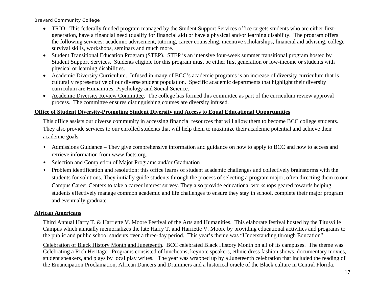- TRIO. This federally funded program managed by the Student Support Services office targets students who are either firstgeneration, have a financial need (qualify for financial aid) or have a physical and/or learning disability. The program offers the following services: academic advisement, tutoring, career counseling, incentive scholarships, financial aid advising, college survival skills, workshops, seminars and much more.
- $\bullet$  Student Transitional Education Program (STEP). STEP is an intensive four-week summer transitional program hosted by Student Support Services. Students eligible for this program must be either first generation or low-income or students with physical or learning disabilities.
- Academic Diversity Curriculum. Infused in many of BCC's academic programs is an increase of diversity curriculum that is culturally representative of our diverse student population. Specific academic departments that highlight their diversity curriculum are Humanities, Psychology and Social Science.
- Academic Diversity Review Committee. The college has formed this committee as part of the curriculum review approval process. The committee ensures distinguishing courses are diversity infused.

#### **Office of Student Diversity-Promoting Student Diversity and Access to Equal Educational Opportunities**

This office assists our diverse community in accessing financial resources that will allow them to become BCC college students. They also provide services to our enrolled students that will help them to maximize their academic potential and achieve their academic goals.

- Admissions Guidance They give comprehensive information and guidance on how to apply to BCC and how to access and retrieve information from www.facts.org.
- Selection and Completion of Major Programs and/or Graduation
- Problem identification and resolution: this office learns of student academic challenges and collectively brainstorms with the students for solutions. They initially guide students through the process of selecting a program major, often directing them to our Campus Career Centers to take a career interest survey. They also provide educational workshops geared towards helping students effectively manage common academic and life challenges to ensure they stay in school, complete their major program and eventually graduate.

#### **African Americans**

Third Annual Harry T. & Harriette V. Moore Festival of the Arts and Humanities. This elaborate festival hosted by the Titusville Campus which annually memorializes the late Harry T. and Harriette V. Moore by providing educational activities and programs to the public and public school students over a three-day period. This year's theme was "Understanding through Education".

Celebration of Black History Month and Juneteenth. BCC celebrated Black History Month on all of its campuses. The theme was Celebrating a Rich Heritage. Programs consisted of luncheons, keynote speakers, ethnic dress fashion shows, documentary movies, student speakers, and plays by local play writes. The year was wrapped up by a Juneteenth celebration that included the reading of the Emancipation Proclamation, African Dancers and Drummers and a historical oracle of the Black culture in Central Florida.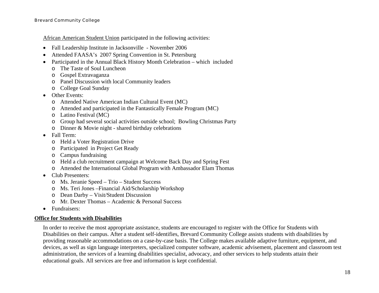African American Student Union participated in the following activities:

- $\bullet$ Fall Leadership Institute in Jacksonville - November 2006
- •Attended FAASA's 2007 Spring Convention in St. Petersburg
- • Participated in the Annual Black History Month Celebration – which included
	- o The Taste of Soul Luncheon
	- o Gospel Extravaganza
	- o Panel Discussion with local Community leaders
	- o College Goal Sunday
- Other Events:
	- o Attended Native American Indian Cultural Event (MC)
	- o Attended and participated in the Fantastically Female Program (MC)
	- o Latino Festival (MC)
	- o Group had several social activities outside school; Bowling Christmas Party
	- o Dinner & Movie night shared birthday celebrations
- Fall Term:
	- o Held a Voter Registration Drive
	- o Participated in Project Get Ready
	- o Campus fundraising
	- o Held a club recruitment campaign at Welcome Back Day and Spring Fest
	- o Attended the International Global Program with Ambassador Elam Thomas
- Club Presenters:
	- o Ms. Jeranie Speed Trio Student Success
	- o Ms. Teri Jones –Financial Aid/Scholarship Workshop
	- o Dean Darby Visit/Student Discussion
	- o Mr. Dexter Thomas Academic & Personal Success
- Fundraisers:

#### **Office for Students with Disabilities**

In order to receive the most appropriate assistance, students are encouraged to register with the Office for Students with Disabilities on their campus. After a student self-identifies, Brevard Community College assists students with disabilities by providing reasonable accommodations on a case-by-case basis. The College makes available adaptive furniture, equipment, and devices, as well as sign language interpreters, specialized computer software, academic advisement, placement and classroom test administration, the services of a learning disabilities specialist, advocacy, and other services to help students attain their educational goals. All services are free and information is kept confidential.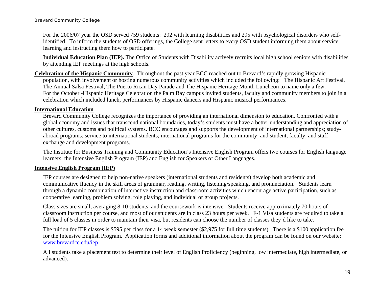For the 2006/07 year the OSD served 759 students: 292 with learning disabilities and 295 with psychological disorders who selfidentified. To inform the students of OSD offerings, the College sent letters to every OSD student informing them about service learning and instructing them how to participate.

**Individual Education Plan (IEP).** The Office of Students with Disability actively recruits local high school seniors with disabilities by attending IEP meetings at the high schools.

**Celebration of the Hispanic Community**. Throughout the past year BCC reached out to Brevard's rapidly growing Hispanic population, with involvement or hosting numerous community activities which included the following: The Hispanic Art Festival, The Annual Salsa Festival, The Puerto Rican Day Parade and The Hispanic Heritage Month Luncheon to name only a few. For the October -Hispanic Heritage Celebration the Palm Bay campus invited students, faculty and community members to join in a celebration which included lunch, performances by Hispanic dancers and Hispanic musical performances.

#### **International Education**

Brevard Community College recognizes the importance of providing an international dimension to education. Confronted with a global economy and issues that transcend national boundaries, today's students must have a better understanding and appreciation of other cultures, customs and political systems. BCC encourages and supports the development of international partnerships; studyabroad programs; service to international students; international programs for the community; and student, faculty, and staff exchange and development programs.

The Institute for Business Training and Community Education's Intensive English Program offers two courses for English language learners: the Intensive English Program (IEP) and English for Speakers of Other Languages.

#### **Intensive English Program (IEP)**

IEP courses are designed to help non-native speakers (international students and residents) develop both academic and communicative fluency in the skill areas of grammar, reading, writing, listening/speaking, and pronunciation. Students learn through a dynamic combination of interactive instruction and classroom activities which encourage active participation, such as cooperative learning, problem solving, role playing, and individual or group projects.

Class sizes are small, averaging 8-10 students, and the coursework is intensive. Students receive approximately 70 hours of classroom instruction per course, and most of our students are in class 23 hours per week. F-1 Visa students are required to take a full load of 5 classes in order to maintain their visa, but residents can choose the number of classes they'd like to take.

The tuition for IEP classes is \$595 per class for a 14 week semester (\$2,975 for full time students). There is a \$100 application fee for the Intensive English Program. Application forms and additional information about the program can be found on our website: [www.brevardcc.edu/iep](http://www.brevardcc.edu/iep) .

All students take a placement test to determine their level of English Proficiency (beginning, low intermediate, high intermediate, or advanced).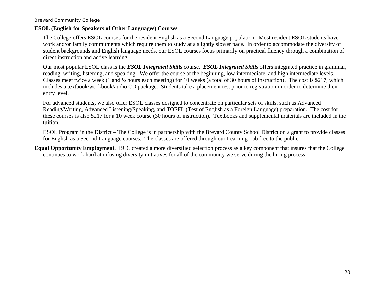#### **ESOL (English for Speakers of Other Languages) Courses**

The College offers ESOL courses for the resident English as a Second Language population. Most resident ESOL students have work and/or family commitments which require them to study at a slightly slower pace. In order to accommodate the diversity of student backgrounds and English language needs, our ESOL courses focus primarily on practical fluency through a combination of direct instruction and active learning.

Our most popular ESOL class is the *ESOL Integrated Skills* course. *ESOL Integrated Skills* offers integrated practice in grammar, reading, writing, listening, and speaking. We offer the course at the beginning, low intermediate, and high intermediate levels. Classes meet twice a week (1 and  $\frac{1}{2}$  hours each meeting) for 10 weeks (a total of 30 hours of instruction). The cost is \$217, which includes a textbook/workbook/audio CD package. Students take a placement test prior to registration in order to determine their entry level.

For advanced students, we also offer ESOL classes designed to concentrate on particular sets of skills, such as Advanced Reading/Writing, Advanced Listening/Speaking, and TOEFL (Test of English as a Foreign Language) preparation. The cost for these courses is also \$217 for a 10 week course (30 hours of instruction). Textbooks and supplemental materials are included in the tuition.

ESOL Program in the District – The College is in partnership with the Brevard County School District on a grant to provide classes for English as a Second Language courses. The classes are offered through our Learning Lab free to the public.

**Equal Opportunity Employment**. BCC created a more diversified selection process as a key component that insures that the College continues to work hard at infusing diversity initiatives for all of the community we serve during the hiring process.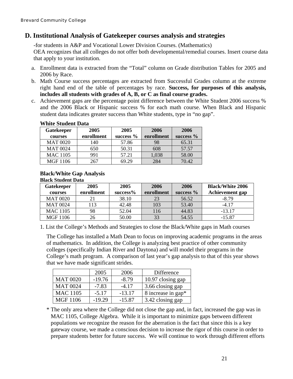# <span id="page-20-0"></span>**D. Institutional Analysis of Gatekeeper courses analysis and strategies**

-for students in A&P and Vocational Lower Division Courses. (Mathematics)

OEA recognizes that all colleges do not offer both developmental/remedial courses. Insert course data that apply to your institution.

- a. Enrollment data is extracted from the "Total" column on Grade distribution Tables for 2005 and 2006 by Race.
- b. Math Course success percentages are extracted from Successful Grades column at the extreme right hand end of the table of percentages by race. **Success, for purposes of this analysis, includes all students with grades of A, B, or C as final course grades.**
- c. Achievement gaps are the percentage point difference between the White Student 2006 success % and the 2006 Black or Hispanic success % for each math course. When Black and Hispanic student data indicates greater success than White students, type in "no gap".

#### **White Student Data**

| <b>Gatekeeper</b> | 2005       | 2005         | 2006       | 2006        |  |
|-------------------|------------|--------------|------------|-------------|--|
| courses           | enrollment | success $\%$ | enrollment | success $%$ |  |
| <b>MAT 0020</b>   | 140        | 57.86        | 98         | 65.31       |  |
| <b>MAT 0024</b>   | 650        | 50.31        | 608        | 57.57       |  |
| <b>MAC 1105</b>   | 991        | 57.21        | 1,038      | 58.00       |  |
| <b>MGF 1106</b>   | 267        | 69.29        | 284        | 70.42       |  |

#### **Black/White Gap Analysis Black Student Data**

| Gatekeeper      | 2005       | 2005        | 2006       | 2006        | <b>Black/White 2006</b> |
|-----------------|------------|-------------|------------|-------------|-------------------------|
| courses         | enrollment | $success\%$ | enrollment | success $%$ | Achievement gap         |
| <b>MAT 0020</b> | 21         | 38.10       | 23         | 56.52       | $-8.79$                 |
| <b>MAT 0024</b> | 113        | 42.48       | 103        | 53.40       | $-4.17$                 |
| <b>MAC 1105</b> | 98         | 52.04       | 116        | 44.83       | $-13.17$                |
| <b>MGF 1106</b> | 26         | 50.00       | 33         | 54.55       | $-15.87$                |

1. List the College's Methods and Strategies to close the Black/White gaps in Math courses

The College has installed a Math Dean to focus on improving academic programs in the areas of mathematics. In addition, the College is analyzing best practice of other community colleges (specifically Indian River and Daytona) and will model their programs in the College's math program. A comparison of last year's gap analysis to that of this year shows that we have made significant strides.

|                 | 2005     | 2006     | Difference         |
|-----------------|----------|----------|--------------------|
| <b>MAT 0020</b> | $-19.76$ | $-8.79$  | 10.97 closing gap  |
| <b>MAT 0024</b> | $-7.83$  | $-4.17$  | 3.66 closing gap   |
| <b>MAC 1105</b> | $-5.17$  | $-13.17$ | 8 increase in gap* |
| <b>MGF 1106</b> | $-19.29$ | $-15.87$ | 3.42 closing gap   |

\* The only area where the College did not close the gap and, in fact, increased the gap was in MAC 1105, College Algebra. While it is important to minimize gaps between different populations we recognize the reason for the aberration is the fact that since this is a key gateway course, we made a conscious decision to increase the rigor of this course in order to prepare students better for future success. We will continue to work through different efforts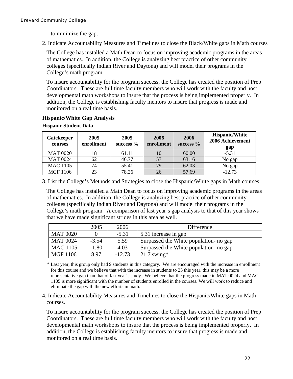to minimize the gap.

<span id="page-21-0"></span>2. Indicate Accountability Measures and Timelines to close the Black/White gaps in Math courses

The College has installed a Math Dean to focus on improving academic programs in the areas of mathematics. In addition, the College is analyzing best practice of other community colleges (specifically Indian River and Daytona) and will model their programs in the College's math program.

To insure accountability for the program success, the College has created the position of Prep Coordinators. These are full time faculty members who will work with the faculty and host developmental math workshops to insure that the process is being implemented properly. In addition, the College is establishing faculty mentors to insure that progress is made and monitored on a real time basis.

## **Hispanic/White Gap Analysis**

**Hispanic Student Data** 

| <b>Gatekeeper</b><br>courses | 2005<br>enrollment | 2005<br>success $\%$ | 2006<br>enrollment | 2006<br>success $%$ | <b>Hispanic/White</b><br>2006 Achievement<br>gap |
|------------------------------|--------------------|----------------------|--------------------|---------------------|--------------------------------------------------|
| <b>MAT 0020</b>              | 18                 | 61.11                | 10                 | 60.00               | $-5.31$                                          |
| <b>MAT 0024</b>              | 62                 | 46.77                | 57                 | 63.16               | No gap                                           |
| <b>MAC 1105</b>              | 74                 | 55.41                | 79                 | 62.03               | No gap                                           |
| <b>MGF 1106</b>              | 23                 | 78.26                | 26                 | 57.69               | $-12.73$                                         |

3. List the College's Methods and Strategies to close the Hispanic/White gaps in Math courses.

The College has installed a Math Dean to focus on improving academic programs in the areas of mathematics. In addition, the College is analyzing best practice of other community colleges (specifically Indian River and Daytona) and will model their programs in the College's math program. A comparison of last year's gap analysis to that of this year shows that we have made significant strides in this area as well.

|                 | 2005    | 2006     | Difference                             |
|-----------------|---------|----------|----------------------------------------|
| <b>MAT 0020</b> |         | $-5.31$  | 5.31 increase in gap                   |
| <b>MAT 0024</b> | $-3.54$ | 5.59     | Surpassed the White population- no gap |
| <b>MAC 1105</b> | $-1.80$ | 4.03     | Surpassed the White population- no gap |
| MGF 1106        | 8.97    | $-12.73$ | $21.7$ swing*                          |

\* Last year, this group only had 9 students in this category. We are encouraged with the increase in enrollment for this course and we believe that with the increase in students to 23 this year, this may be a more representative gap than that of last year's study. We believe that the progress made in MAT 0024 and MAC 1105 is more significant with the number of students enrolled in the courses. We will work to reduce and eliminate the gap with the new efforts in math.

4. Indicate Accountability Measures and Timelines to close the Hispanic/White gaps in Math courses.

To insure accountability for the program success, the College has created the position of Prep Coordinators. These are full time faculty members who will work with the faculty and host developmental math workshops to insure that the process is being implemented properly. In addition, the College is establishing faculty mentors to insure that progress is made and monitored on a real time basis.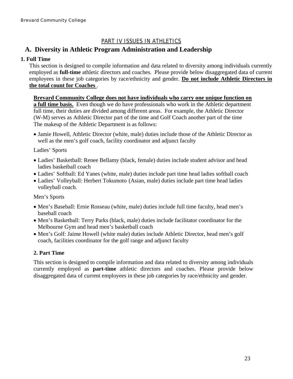# PART IV ISSUES IN ATHLETICS

# <span id="page-22-0"></span>**A. Diversity in Athletic Program Administration and Leadership**

### **1. Full Time**

 This section is designed to compile information and data related to diversity among individuals currently employed as **full-time** athletic directors and coaches. Please provide below disaggregated data of current employees in these job categories by race/ethnicity and gender. **Do not include Athletic Directors in the total count for Coaches** .

**Brevard Community College does not have individuals who carry one unique function on a full time basis.** Even though we do have professionals who work in the Athletic department full time, their duties are divided among different areas. For example, the Athletic Director (W-M) serves as Athletic Director part of the time and Golf Coach another part of the time The makeup of the Athletic Department is as follows:

• Jamie Howell, Athletic Director (white, male) duties include those of the Athletic Director as well as the men's golf coach, facility coordinator and adjunct faculty

#### Ladies' Sports

- Ladies' Basketball: Renee Bellamy (black, female) duties include student advisor and head ladies basketball coach
- Ladies' Softball: Ed Yanes (white, male) duties include part time head ladies softball coach
- Ladies' Volleyball: Herbert Tokumoto (Asian, male) duties include part time head ladies volleyball coach.

## Men's Sports

- Men's Baseball: Ernie Rosseau (white, male) duties include full time faculty, head men's baseball coach
- Men's Basketball: Terry Parks (black, male) duties include facilitator coordinator for the Melbourne Gym and head men's basketball coach
- Men's Golf: Jaime Howell (white male) duties include Athletic Director, head men's golf coach, facilities coordinator for the golf range and adjunct faculty

## **2. Part Time**

This section is designed to compile information and data related to diversity among individuals currently employed as **part-time** athletic directors and coaches. Please provide below disaggregated data of current employees in these job categories by race/ethnicity and gender.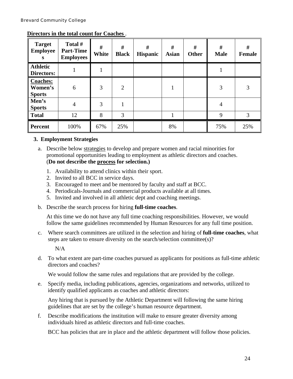| <b>Target</b><br><b>Employee</b><br>S       | Total #<br><b>Part-Time</b><br><b>Employees</b> | #<br>White | #<br><b>Black</b> | #<br><b>Hispanic</b> | #<br><b>Asian</b> | #<br>Other | #<br><b>Male</b> | #<br><b>Female</b> |
|---------------------------------------------|-------------------------------------------------|------------|-------------------|----------------------|-------------------|------------|------------------|--------------------|
| <b>Athletic</b><br><b>Directors:</b>        |                                                 |            |                   |                      |                   |            |                  |                    |
| <b>Coaches:</b><br>Women's<br><b>Sports</b> | 6                                               | 3          | $\overline{2}$    |                      |                   |            | 3                | 3                  |
| Men's<br><b>Sports</b>                      | $\overline{4}$                                  | 3          | 1                 |                      |                   |            | 4                |                    |
| <b>Total</b>                                | 12                                              | 8          | 3                 |                      |                   |            | 9                | 3                  |
| <b>Percent</b>                              | 100%                                            | 67%        | 25%               |                      | 8%                |            | 75%              | 25%                |

#### <span id="page-23-0"></span>**Directors in the total count for Coaches** .

#### **3. Employment Strategies**

- a. Describe below strategies to develop and prepare women and racial minorities for promotional opportunities leading to employment as athletic directors and coaches. (**Do not describe the process for selection.)**
	- 1. Availability to attend clinics within their sport.
	- 2. Invited to all BCC in service days.
	- 3. Encouraged to meet and be mentored by faculty and staff at BCC.
	- 4. Periodicals-Journals and commercial products available at all times.
	- 5. Invited and involved in all athletic dept and coaching meetings.
- b. Describe the search process for hiring **full-time coaches**.

At this time we do not have any full time coaching responsibilities. However, we would follow the same guidelines recommended by Human Resources for any full time position.

c. Where search committees are utilized in the selection and hiring of **full-time coaches**, what steps are taken to ensure diversity on the search/selection committee(s)?

N/A

d. To what extent are part-time coaches pursued as applicants for positions as full-time athletic directors and coaches?

We would follow the same rules and regulations that are provided by the college.

e. Specify media, including publications, agencies, organizations and networks, utilized to identify qualified applicants as coaches and athletic directors:

Any hiring that is pursued by the Athletic Department will following the same hiring guidelines that are set by the college's human resource department.

f. Describe modifications the institution will make to ensure greater diversity among individuals hired as athletic directors and full-time coaches.

BCC has policies that are in place and the athletic department will follow those policies.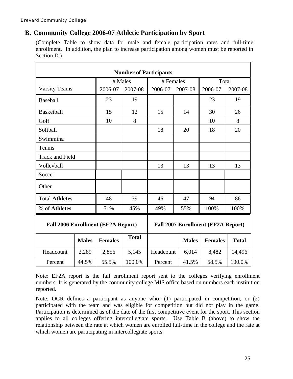# <span id="page-24-0"></span>**B. Community College 2006-07 Athletic Participation by Sport**

(Complete Table to show data for male and female participation rates and full-time enrollment. In addition, the plan to increase participation among women must be reported in Section D.)

| <b>Number of Participants</b>             |              |                |              |                                           |              |                |              |  |  |  |
|-------------------------------------------|--------------|----------------|--------------|-------------------------------------------|--------------|----------------|--------------|--|--|--|
|                                           |              |                | # Males      | # Females                                 |              | Total          |              |  |  |  |
| <b>Varsity Teams</b>                      |              | 2006-07        | 2007-08      | 2006-07                                   | 2007-08      | 2006-07        | 2007-08      |  |  |  |
| <b>Baseball</b>                           |              | 23             | 19           |                                           |              | 23             | 19           |  |  |  |
| <b>Basketball</b>                         |              | 15             | 12           | 15                                        | 14           | 30             | 26           |  |  |  |
| Golf                                      |              | 10             | 8            |                                           |              | 10             | 8            |  |  |  |
| Softball                                  |              |                |              | 18                                        | 20           | 18             | 20           |  |  |  |
| Swimming                                  |              |                |              |                                           |              |                |              |  |  |  |
| Tennis                                    |              |                |              |                                           |              |                |              |  |  |  |
| <b>Track and Field</b>                    |              |                |              |                                           |              |                |              |  |  |  |
| Volleyball                                |              |                |              | 13                                        | 13           | 13             | 13           |  |  |  |
| Soccer                                    |              |                |              |                                           |              |                |              |  |  |  |
| Other                                     |              |                |              |                                           |              |                |              |  |  |  |
| <b>Total Athletes</b>                     |              | 48             | 39           | 46                                        | 47           | 94             | 86           |  |  |  |
| % of Athletes                             |              | 51%            | 45%          | 49%                                       | 55%          | 100%           | 100%         |  |  |  |
| <b>Fall 2006 Enrollment (EF2A Report)</b> |              |                |              | <b>Fall 2007 Enrollment (EF2A Report)</b> |              |                |              |  |  |  |
|                                           | <b>Males</b> | <b>Females</b> | <b>Total</b> |                                           | <b>Males</b> | <b>Females</b> | <b>Total</b> |  |  |  |
| Headcount                                 | 2,289        | 2,856          | 5,145        | Headcount                                 | 6,014        | 8,482          | 14,496       |  |  |  |
| Percent                                   | 44.5%        | 55.5%          | 100.0%       | Percent                                   | 41.5%        | 58.5%          | 100.0%       |  |  |  |

Note: EF2A report is the fall enrollment report sent to the colleges verifying enrollment numbers. It is generated by the community college MIS office based on numbers each institution reported.

Note: OCR defines a participant as anyone who: (1) participated in competition, or (2) participated with the team and was eligible for competition but did not play in the game. Participation is determined as of the date of the first competitive event for the sport. This section applies to all colleges offering intercollegiate sports. Use Table B (above) to show the relationship between the rate at which women are enrolled full-time in the college and the rate at which women are participating in intercollegiate sports.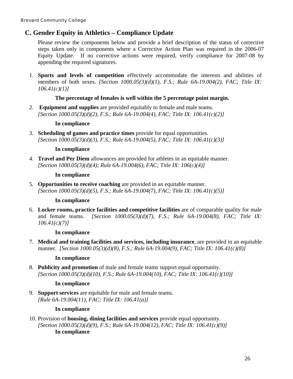# <span id="page-25-0"></span>**C. Gender Equity in Athletics – Compliance Update**

Please review the components below and provide a brief description of the status of corrective steps taken only in components where a Corrective Action Plan was required in the 2006-07 Equity Update. If no corrective actions were required, verify compliance for 2007-08 by appending the required signatures.

1. **Sports and levels of competition** effectively accommodate the interests and abilities of members of both sexes. *[Section 1000.05(3)(d)(1), F.S.; Rule 6A-19.004(2), FAC; Title IX: 106.41(c)(1)]*

#### **The percentage of females is well within the 5 percentage point margin.**

2. **Equipment and supplies** are provided equitably to female and male teams. *[Section 1000.05(3)(d)(2), F.S.; Rule 6A-19.004(4), FAC; Title IX: 106.41(c)(2)]* 

#### **In compliance**

3. **Scheduling of games and practice times** provide for equal opportunities. *[Section 1000.05(3)(d)(3), F.S.; Rule 6A-19.004(5), FAC; Title IX: 106.41(c)(3)]* 

#### **In compliance**

4. **Travel and Per Diem** allowances are provided for athletes in an equitable manner. *[Section 1000.05(3)(d)(4); Rule 6A-19.004(6), FAC; Title IX: 106(c)(4)]* 

#### **In compliance**

5. **Opportunities to receive coaching** are provided in an equitable manner. *[Section 1000.05(3)(d)(5), F.S.; Rule 6A-19.004(7), FAC; Title IX: 106.41(c)(5)]*

## **In compliance**

6. **Locker rooms, practice facilities and competitive facilities** are of comparable quality for male and female teams. *[Section 1000.05(3)(d)(7), F.S.; Rule 6A-19.004(8), FAC; Title IX: 106.41(c)(7)]*

#### **In compliance**

7. **Medical and training facilities and services, including insurance**, are provided in an equitable manner. *[Section 1000.05(3)(d)(8), F.S.; Rule 6A-19.004(9), FAC; Title IX: 106.41(c)(8)]*

## **In compliance**

8. **Publicity and promotion** of male and female teams support equal opportunity. *[Section 1000.05(3)(d)(10), F.S.; Rule 6A-19.004(10), FAC; Title IX: 106.41(c)(10)]*

## **In compliance**

9. **Support services** are equitable for male and female teams. *[Rule 6A-19.004(11), FAC; Title IX: 106.41(a)]* 

## **In compliance**

10. Provision of **housing, dining facilities and services** provide equal opportunity. *[Section 1000.05(3)(d)(9), F.S.; Rule 6A-19.004(12), FAC; Title IX: 106.41(c)(9)]*  **In compliance**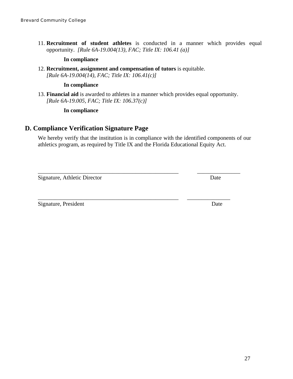<span id="page-26-0"></span>11. **Recruitment of student athletes** is conducted in a manner which provides equal opportunity. *[Rule 6A-19.004(13), FAC; Title IX: 106.41 (a)]*

#### **In compliance**

12. **Recruitment, assignment and compensation of tutors** is equitable. *[Rule 6A-19.004(14), FAC; Title IX: 106.41(c)]*

#### **In compliance**

13. **Financial aid** is awarded to athletes in a manner which provides equal opportunity. *[Rule 6A-19.005, FAC; Title IX: 106.37(c)]*

#### **In compliance**

## **D. Compliance Verification Signature Page**

We hereby verify that the institution is in compliance with the identified components of our athletics program, as required by Title IX and the Florida Educational Equity Act.

\_\_\_\_\_\_\_\_\_\_\_\_\_\_\_\_\_\_\_\_\_\_\_\_\_\_\_\_\_\_\_\_\_\_\_\_\_\_\_\_\_\_\_\_\_\_\_\_\_ \_\_\_\_\_\_\_\_\_\_\_\_\_\_\_

\_\_\_\_\_\_\_\_\_\_\_\_\_\_\_\_\_\_\_\_\_\_\_\_\_\_\_\_\_\_\_\_\_\_\_\_\_\_\_\_\_\_\_\_\_\_\_\_\_ \_\_\_\_\_\_\_\_\_\_\_\_\_\_\_

Signature, Athletic Director Date

Signature, President Date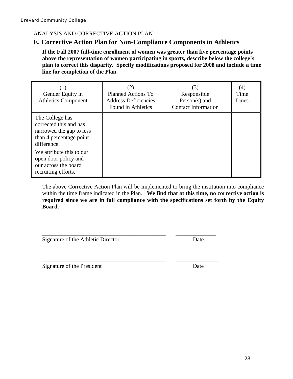## <span id="page-27-0"></span>ANALYSIS AND CORRECTIVE ACTION PLAN

# **E. Corrective Action Plan for Non-Compliance Components in Athletics**

**If the Fall 2007 full-time enrollment of women was greater than five percentage points above the representation of women participating in sports, describe below the college's plan to correct this disparity. Specify modifications proposed for 2008 and include a time line for completion of the Plan.** 

| (1)<br>Gender Equity in<br><b>Athletics Component</b>                                                           | (2)<br>Planned Actions To<br><b>Address Deficiencies</b><br>Found in Athletics | (3)<br>Responsible<br>$Person(s)$ and<br><b>Contact Information</b> | (4)<br>Time<br>Lines |
|-----------------------------------------------------------------------------------------------------------------|--------------------------------------------------------------------------------|---------------------------------------------------------------------|----------------------|
| The College has<br>corrected this and has<br>narrowed the gap to less<br>than 4 percentage point<br>difference. |                                                                                |                                                                     |                      |
| We attribute this to our<br>open door policy and<br>our across the board<br>recruiting efforts.                 |                                                                                |                                                                     |                      |

The above Corrective Action Plan will be implemented to bring the institution into compliance within the time frame indicated in the Plan. **We find that at this time, no corrective action is required since we are in full compliance with the specifications set forth by the Equity Board.**

\_\_\_\_\_\_\_\_\_\_\_\_\_\_\_\_\_\_\_\_\_\_\_\_\_\_\_\_\_\_\_\_\_\_\_\_\_\_\_\_\_\_\_\_\_\_\_\_\_\_\_\_\_\_\_\_\_\_

Signature of the Athletic Director Date

\_\_\_\_\_\_\_\_\_\_\_\_\_\_\_\_\_\_\_\_\_\_\_\_\_\_\_\_\_\_\_\_\_\_\_\_\_\_\_\_\_\_\_ \_\_\_\_\_\_\_\_\_\_\_\_\_\_

Signature of the President Date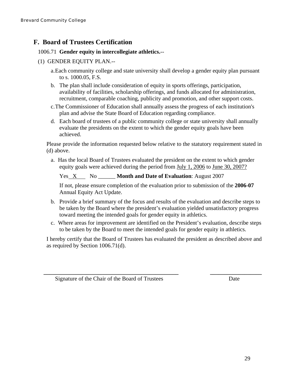# <span id="page-28-0"></span>**F. Board of Trustees Certification**

#### 1006.71 **Gender equity in intercollegiate athletics.**--

- (1) GENDER EQUITY PLAN.-
	- a.Each community college and state university shall develop a gender equity plan pursuant to s. 1000.05, F.S.
	- b. The plan shall include consideration of equity in sports offerings, participation, availability of facilities, scholarship offerings, and funds allocated for administration, recruitment, comparable coaching, publicity and promotion, and other support costs.
	- c.The Commissioner of Education shall annually assess the progress of each institution's plan and advise the State Board of Education regarding compliance.
	- d. Each board of trustees of a public community college or state university shall annually evaluate the presidents on the extent to which the gender equity goals have been achieved.

Please provide the information requested below relative to the statutory requirement stated in (d) above.

a. Has the local Board of Trustees evaluated the president on the extent to which gender equity goals were achieved during the period from July 1, 2006 to June 30, 2007?

Yes X No No **No Month and Date of Evaluation**: August 2007

If not, please ensure completion of the evaluation prior to submission of the **2006-07** Annual Equity Act Update.

- b. Provide a brief summary of the focus and results of the evaluation and describe steps to be taken by the Board where the president's evaluation yielded unsatisfactory progress toward meeting the intended goals for gender equity in athletics.
- c. Where areas for improvement are identified on the President's evaluation, describe steps to be taken by the Board to meet the intended goals for gender equity in athletics.

I hereby certify that the Board of Trustees has evaluated the president as described above and as required by Section 1006.71(d).

 **\_\_\_\_\_\_\_\_\_\_\_\_\_\_\_\_\_\_\_\_\_\_\_\_\_\_\_\_\_\_\_\_\_\_\_\_\_\_\_\_\_\_\_\_\_\_\_ \_\_\_\_\_\_\_\_\_\_\_\_\_\_\_\_\_\_**

Signature of the Chair of the Board of TrusteesDate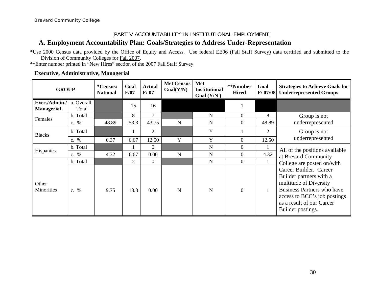## PART V ACCOUNTABILITY IN INSTITUTIONAL EMPLOYMENT

## **A. Employment Accountability Plan: Goals/Strategies to Address Under-Representation**

\*Use 2000 Census data provided by the Office of Equity and Access. Use federal EE06 (Fall Staff Survey) data certified and submitted to the Division of Community Colleges for Fall 2007.

\*\*Enter number printed in "New Hires" section of the 2007 Fall Staff Survey

### **Executive, Administrative, Managerial**

<span id="page-29-0"></span>

| <b>GROUP</b>                       |                     | <i>*Census:</i><br><b>National</b> | Goal<br>F/07           | <b>Actual</b><br>F/07   | <b>Met Census</b><br>Goal(Y/N) | Met<br><b>Institutional</b><br>Goal (Y/N) | **Number<br><b>Hired</b>     | Goal<br>F/07/08         | <b>Strategies to Achieve Goals for</b><br><b>Underrepresented Groups</b>                                                                                                                                                         |
|------------------------------------|---------------------|------------------------------------|------------------------|-------------------------|--------------------------------|-------------------------------------------|------------------------------|-------------------------|----------------------------------------------------------------------------------------------------------------------------------------------------------------------------------------------------------------------------------|
| Exec./Admin./<br><b>Managerial</b> | a. Overall<br>Total |                                    | 15                     | 16                      |                                |                                           |                              |                         |                                                                                                                                                                                                                                  |
| Females                            | b. Total<br>$c. \%$ | 48.89                              | 8<br>53.3              | 7<br>43.75              | N                              | N<br>$\mathbf N$                          | $\mathbf{0}$<br>$\mathbf{0}$ | 8<br>48.89              | Group is not<br>underrepresented                                                                                                                                                                                                 |
| <b>Blacks</b>                      | b. Total<br>c. $%$  | 6.37                               | 6.67                   | $\overline{2}$<br>12.50 | Y                              | Y<br>Y                                    | $\overline{0}$               | $\overline{2}$<br>12.50 | Group is not<br>underrepresented                                                                                                                                                                                                 |
| Hispanics                          | b. Total<br>c. $%$  | 4.32                               | 6.67                   | $\overline{0}$<br>0.00  | N                              | $\mathbf N$<br>$\mathbf N$                | $\theta$<br>$\overline{0}$   | 4.32                    | All of the positions available<br>at Brevard Community                                                                                                                                                                           |
| Other<br>Minorities                | b. Total<br>$c. \%$ | 9.75                               | $\mathfrak{D}$<br>13.3 | $\overline{0}$<br>0.00  | N                              | $\mathbf N$<br>$\mathbf N$                | $\Omega$<br>$\Omega$         | 1<br>$\mathbf{1}$       | College are posted on/with<br>Career Builder. Career<br>Builder partners with a<br>multitude of Diversity<br><b>Business Partners who have</b><br>access to BCC's job postings<br>as a result of our Career<br>Builder postings. |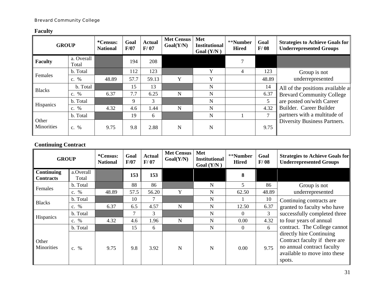**Faculty** 

| <b>GROUP</b>        |                     | *Census:<br><b>National</b> | Goal<br>F/07 | <b>Actual</b><br>F/07 | <b>Met Census</b><br>Goal(Y/N) | Met<br><b>Institutional</b><br>Goal $(Y/N)$ | **Number<br><b>Hired</b> | Goal<br>F/08   | <b>Strategies to Achieve Goals for</b><br><b>Underrepresented Groups</b>             |
|---------------------|---------------------|-----------------------------|--------------|-----------------------|--------------------------------|---------------------------------------------|--------------------------|----------------|--------------------------------------------------------------------------------------|
| <b>Faculty</b>      | a. Overall<br>Total |                             | 194          | 208                   |                                |                                             |                          |                |                                                                                      |
|                     | b. Total            |                             | 112          | 123                   |                                | Y                                           | 4                        | 123            | Group is not                                                                         |
| Females             | c. $%$              | 48.89                       | 57.7         | 59.13                 | Y                              | Y                                           |                          | 48.89          | underrepresented                                                                     |
| <b>Blacks</b>       | b. Total            |                             | 15           | 13                    |                                | N                                           |                          | 14             | All of the positions available at                                                    |
|                     | c. %                | 6.37                        | 7.7          | 6.25                  | N                              | N                                           |                          | 6.37           | <b>Brevard Community College</b>                                                     |
| Hispanics           | b. Total            |                             | 9            | 3                     |                                | N                                           |                          | 5              | are posted on/with Career<br>Builder. Career Builder<br>partners with a multitude of |
|                     | c. %                | 4.32                        | 4.6          | 1.44                  | N                              | $\mathbf N$                                 |                          | 4.32           |                                                                                      |
|                     | b. Total            |                             | 19           | 6                     |                                | N                                           |                          | $\overline{7}$ |                                                                                      |
| Other<br>Minorities | c. $%$              | 9.75                        | 9.8          | 2.88                  | $\mathbf N$                    | N                                           |                          | 9.75           | Diversity Business Partners.                                                         |

# **Continuing Contract**

<span id="page-30-0"></span>

| <b>GROUP</b>                   |                    | *Census:<br><b>National</b> | Goal<br>F/07 | <b>Actual</b><br>F/07 | <b>Met Census</b><br>Goal(Y/N) | Met<br><b>Institutional</b><br>Goal $(Y/N)$ | **Number<br><b>Hired</b> | Goal<br>F/08 | <b>Strategies to Achieve Goals for</b><br><b>Underrepresented Groups</b>                                                          |
|--------------------------------|--------------------|-----------------------------|--------------|-----------------------|--------------------------------|---------------------------------------------|--------------------------|--------------|-----------------------------------------------------------------------------------------------------------------------------------|
| Continuing<br><b>Contracts</b> | a.Overall<br>Total |                             | 153          | 153                   |                                |                                             | 8                        |              |                                                                                                                                   |
| Females                        | b. Total<br>c. $%$ | 48.89                       | 88<br>57.5   | 86<br>56.20           | Y                              | N<br>N                                      | 5<br>62.50               | 86<br>48.89  | Group is not<br>underrepresented                                                                                                  |
| <b>Blacks</b>                  | b. Total<br>c. %   | 6.37                        | 10<br>6.5    | $\tau$<br>4.57        | $\mathbf N$                    | N<br>N                                      | 12.50                    | 10<br>6.37   | Continuing contracts are<br>granted to faculty who have                                                                           |
| Hispanics                      | b. Total<br>c. %   | 4.32                        | 4.6          | 3<br>1.96             | N                              | N<br>N                                      | $\Omega$<br>0.00         | 3<br>4.32    | successfully completed three<br>to four years of annual                                                                           |
|                                | b. Total           |                             | 15           | 6                     |                                | N                                           | $\Omega$                 | 6            | contract. The College cannot                                                                                                      |
| Other<br>Minorities            | c. %               | 9.75                        | 9.8          | 3.92                  | $\mathbf N$                    | N                                           | 0.00                     | 9.75         | directly hire Continuing<br>Contract faculty if there are<br>no annual contract faculty<br>available to move into these<br>spots. |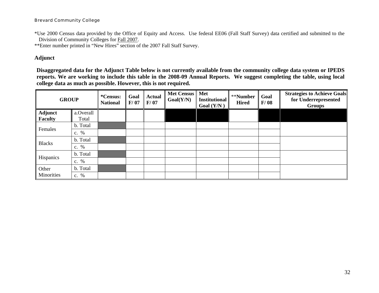\*Use 2000 Census data provided by the Office of Equity and Access. Use federal EE06 (Fall Staff Survey) data certified and submitted to the Division of Community Colleges for Fall 2007.

\*\*Enter number printed in "New Hires" section of the 2007 Fall Staff Survey.

#### **Adjunct**

**Disaggregated data for the Adjunct Table below is not currently available from the community college data system or IPEDS reports. We are working to include this table in the 2008-09 Annual Reports. We suggest completing the table, using local college data as much as possible. However, this is not required.** 

<span id="page-31-0"></span>

| <b>GROUP</b>                     |                    | *Census:<br><b>National</b> | Goal<br>F/07 | <b>Actual</b><br>F/07 | Met Census    Met<br>Goal(Y/N) | <b>Institutional</b><br>Goal $(Y/N)$ | **Number<br><b>Hired</b> | Goal<br>F/08 | <b>Strategies to Achieve Goals</b><br>for Underrepresented<br><b>Groups</b> |
|----------------------------------|--------------------|-----------------------------|--------------|-----------------------|--------------------------------|--------------------------------------|--------------------------|--------------|-----------------------------------------------------------------------------|
| <b>Adjunct</b><br><b>Faculty</b> | a.Overall<br>Total |                             |              |                       |                                |                                      |                          |              |                                                                             |
| Females                          | b. Total           |                             |              |                       |                                |                                      |                          |              |                                                                             |
|                                  | c. $%$<br>b. Total |                             |              |                       |                                |                                      |                          |              |                                                                             |
| <b>Blacks</b>                    | c. $%$             |                             |              |                       |                                |                                      |                          |              |                                                                             |
| Hispanics                        | b. Total           |                             |              |                       |                                |                                      |                          |              |                                                                             |
|                                  | c. %               |                             |              |                       |                                |                                      |                          |              |                                                                             |
| Other<br>Minorities              | b. Total<br>c. $%$ |                             |              |                       |                                |                                      |                          |              |                                                                             |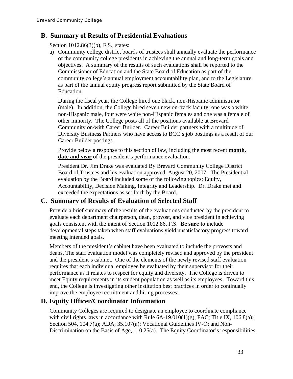# <span id="page-32-0"></span>**B. Summary of Results of Presidential Evaluations**

Section 1012.86(3)(b), F.S., states:

a) Community college district boards of trustees shall annually evaluate the performance of the community college presidents in achieving the annual and long-term goals and objectives. A summary of the results of such evaluations shall be reported to the Commissioner of Education and the State Board of Education as part of the community college's annual employment accountability plan, and to the Legislature as part of the annual equity progress report submitted by the State Board of Education.

During the fiscal year, the College hired one black, non-Hispanic administrator (male). In addition, the College hired seven new on-track faculty; one was a white non-Hispanic male, four were white non-Hispanic females and one was a female of other minority. The College posts all of the positions available at Brevard Community on/with Career Builder. Career Builder partners with a multitude of Diversity Business Partners who have access to BCC's job postings as a result of our Career Builder postings.

Provide below a response to this section of law, including the most recent **month, date and year** of the president's performance evaluation.

President Dr. Jim Drake was evaluated By Brevard Community College District Board of Trustees and his evaluation approved. August 20, 2007. The Presidential evaluation by the Board included some of the following topics: Equity, Accountability, Decision Making, Integrity and Leadership. Dr. Drake met and exceeded the expectations as set forth by the Board.

# **C. Summary of Results of Evaluation of Selected Staff**

Provide a brief summary of the results of the evaluations conducted by the president to evaluate each department chairperson, dean, provost, and vice president in achieving goals consistent with the intent of Section 1012.86, F.S. **Be sure to** include developmental steps taken when staff evaluations yield unsatisfactory progress toward meeting intended goals.

Members of the president's cabinet have been evaluated to include the provosts and deans. The staff evaluation model was completely revised and approved by the president and the president's cabinet. One of the elements of the newly revised staff evaluation requires that each individual employee be evaluated by their supervisor for their performance as it relates to respect for equity and diversity. The College is driven to meet Equity requirements in its student population as well as its employees. Toward this end, the College is investigating other institution best practices in order to continually improve the employee recruitment and hiring processes.

# **D. Equity Officer/Coordinator Information**

Community Colleges are required to designate an employee to coordinate compliance with civil rights laws in accordance with Rule  $6A-19.010(1)(g)$ , FAC; Title IX,  $106.8(a)$ ; Section 504, 104.7(a); ADA, 35.107(a); Vocational Guidelines IV-O; and Non-Discrimination on the Basis of Age, 110.25(a). The Equity Coordinator's responsibilities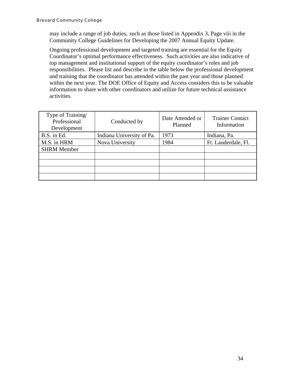may include a range of job duties, such as those listed in Appendix 3, Page viii in the Community College Guidelines for Developing the 2007 Annual Equity Update.

Ongoing professional development and targeted training are essential for the Equity Coordinator's optimal performance effectiveness. Such activities are also indicative of top management and institutional support of the equity coordinator's roles and job responsibilities. Please list and describe in the table below the professional development and training that the coordinator has attended within the past year and those planned within the next year. The DOE Office of Equity and Access considers this to be valuable information to share with other coordinators and utilize for future technical assistance activities.

| Type of Training/<br>Professional<br>Development | Conducted by              | Date Attended or<br>Planned | <b>Trainer Contact</b><br>Information |
|--------------------------------------------------|---------------------------|-----------------------------|---------------------------------------|
| B.S. in Ed.                                      | Indiana University of Pa. | 1973                        | Indiana, Pa.                          |
| M.S. in HRM                                      | Nova University           | 1984                        | Ft. Lauderdale, Fl.                   |
| <b>SHRM Member</b>                               |                           |                             |                                       |
|                                                  |                           |                             |                                       |
|                                                  |                           |                             |                                       |
|                                                  |                           |                             |                                       |
|                                                  |                           |                             |                                       |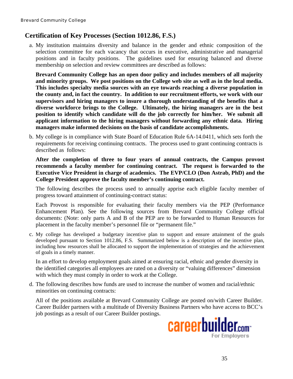## <span id="page-34-0"></span>**Certification of Key Processes (Section 1012.86, F.S.)**

a. My institution maintains diversity and balance in the gender and ethnic composition of the selection committee for each vacancy that occurs in executive, administrative and managerial positions and in faculty positions. The guidelines used for ensuring balanced and diverse membership on selection and review committees are described as follows:

 **Brevard Community College has an open door policy and includes members of all majority and minority groups. We post positions on the College web site as well as in the local media. This includes specialty media sources with an eye towards reaching a diverse population in the county and, in fact the country. In addition to our recruitment efforts, we work with our supervisors and hiring managers to insure a thorough understanding of the benefits that a diverse workforce brings to the College. Ultimately, the hiring managers are in the best position to identify which candidate will do the job correctly for him/her. We submit all applicant information to the hiring managers without forwarding any ethnic data. Hiring managers make informed decisions on the basis of candidate accomplishments.** 

b. My college is in compliance with State Board of Education Rule 6A-14.0411, which sets forth the requirements for receiving continuing contracts. The process used to grant continuing contracts is described as follows:

**After the completion of three to four years of annual contracts, the Campus provost recommends a faculty member for continuing contract. The request is forwarded to the Executive Vice President in charge of academics. The EVP/CLO (Don Astrab, PhD) and the College President approve the faculty member's continuing contract.** 

The following describes the process used to annually apprise each eligible faculty member of progress toward attainment of continuing-contract status:

Each Provost is responsible for evaluating their faculty members via the PEP (Performance Enhancement Plan). See the following sources from Brevard Community College official documents: (Note: only parts A and B of the PEP are to be forwarded to Human Resources for placement in the faculty member's personnel file or "permanent file."

c. My college has developed a budgetary incentive plan to support and ensure attainment of the goals developed pursuant to Section 1012.86, F.S. Summarized below is a description of the incentive plan, including how resources shall be allocated to support the implementation of strategies and the achievement of goals in a timely manner.

In an effort to develop employment goals aimed at ensuring racial, ethnic and gender diversity in the identified categories all employees are rated on a diversity or "valuing differences" dimension with which they must comply in order to work at the College.

d. The following describes how funds are used to increase the number of women and racial/ethnic minorities on continuing contracts:

All of the positions available at Brevard Community College are posted on/with Career Builder. Career Builder partners with a multitude of Diversity Business Partners who have access to BCC's job postings as a result of our Career Builder postings.

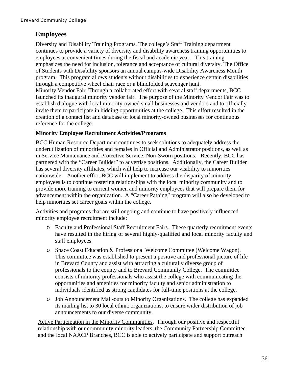# **Employees**

Diversity and Disability Training Programs. The college's Staff Training department continues to provide a variety of diversity and disability awareness training opportunities to employees at convenient times during the fiscal and academic year. This training emphasizes the need for inclusion, tolerance and acceptance of cultural diversity. The Office of Students with Disability sponsors an annual campus-wide Disability Awareness Month program. This program allows students without disabilities to experience certain disabilities through a competitive wheel chair race or a blindfolded scavenger hunt. Minority Vendor Fair. Through a collaborated effort with several staff departments, BCC launched its inaugural minority vendor fair. The purpose of the Minority Vendor Fair was to establish dialogue with local minority-owned small businesses and vendors and to officially invite them to participate in bidding opportunities at the college. This effort resulted in the creation of a contact list and database of local minority-owned businesses for continuous reference for the college.

## **Minority Employee Recruitment Activities/Programs**

BCC Human Resource Department continues to seek solutions to adequately address the underutilization of minorities and females in Official and Administrator positions, as well as in Service Maintenance and Protective Service: Non-Sworn positions. Recently, BCC has partnered with the "Career Builder" to advertise positions. Additionally, the Career Builder has several diversity affiliates, which will help to increase our visibility to minorities nationwide. Another effort BCC will implement to address the disparity of minority employees is to continue fostering relationships with the local minority community and to provide more training to current women and minority employees that will prepare them for advancement within the organization. A "Career Pathing" program will also be developed to help minorities set career goals within the college.

Activities and programs that are still ongoing and continue to have positively influenced minority employee recruitment include:

- o Faculty and Professional Staff Recruitment Fairs. These quarterly recruitment events have resulted in the hiring of several highly-qualified and local minority faculty and staff employees.
- o Space Coast Education & Professional Welcome Committee (Welcome Wagon). This committee was established to present a positive and professional picture of life in Brevard County and assist with attracting a culturally diverse group of professionals to the county and to Brevard Community College. The committee consists of minority professionals who assist the college with communicating the opportunities and amenities for minority faculty and senior administration to individuals identified as strong candidates for full-time positions at the college.
- o Job Announcement Mail-outs to Minority Organizations. The college has expanded its mailing list to 30 local ethnic organizations, to ensure wider distribution of job announcements to our diverse community.

Active Participation in the Minority Communities. Through our positive and respectful relationship with our community minority leaders, the Community Partnership Committee and the local NAACP Branches, BCC is able to actively participate and support outreach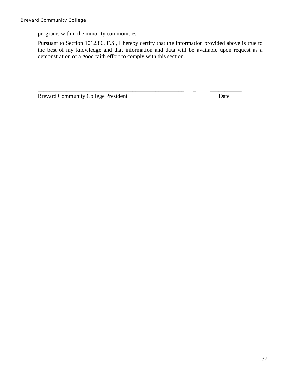programs within the minority communities.

Pursuant to Section 1012.86, F.S., I hereby certify that the information provided above is true to the best of my knowledge and that information and data will be available upon request as a demonstration of a good faith effort to comply with this section.

\_\_\_\_\_\_\_\_\_\_\_\_\_\_\_\_\_\_\_\_\_\_\_\_\_\_\_\_\_\_\_\_\_\_\_\_\_\_\_\_\_\_\_\_\_\_\_\_\_\_\_ \_ \_\_\_\_\_\_\_\_\_\_\_

Brevard Community College President Date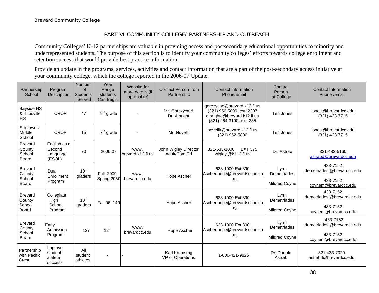## PART VI COMMUNITY COLLEGE/ PARTNERSHIP AND OUTREACH

Community Colleges' K-12 partnerships are valuable in providing access and postsecondary educational opportunities to minority and underrepresented students. The purpose of this section is to identify your community colleges' efforts towards college enrollment and retention success that would provide best practice information.

Provide an update in the programs, services, activities and contact information that are a part of the post-secondary access initiative at your community college, which the college reported in the 2006-07 Update.

<span id="page-37-0"></span>

| Partnership<br>School                              | Program<br>Description                       | <b>Number</b><br><b>of</b><br><b>Students</b><br>Served | Year<br>Range<br>students<br>Can Begin | Website for<br>more details (if<br>applicable) | <b>Contact Person from</b><br>Partnership | Contact Information<br>Phone/email                                                                                  | Contact<br>Person<br>at College             | Contact Information<br>Phone /email                                        |
|----------------------------------------------------|----------------------------------------------|---------------------------------------------------------|----------------------------------------|------------------------------------------------|-------------------------------------------|---------------------------------------------------------------------------------------------------------------------|---------------------------------------------|----------------------------------------------------------------------------|
| <b>Bayside HS</b><br>& Titusville<br><b>HS</b>     | CROP                                         | 47                                                      | $9th$ grade                            |                                                | Mr. Gorczyca &<br>Dr. Albright            | gorczycae@brevard.k12.fl.us<br>(321) 956-5000, ext. 2307<br>albrightd@brevard.k12.fl.us<br>(321) 264-3100, ext. 235 | Teri Jones                                  | jonest@brevardcc.edu<br>(321) 433-7715                                     |
| Southwest<br>Middle<br>School                      | <b>CROP</b>                                  | 15                                                      | $7th$ grade                            |                                                | Mr. Novelli                               | novellir@brevard.k12.fl.us<br>(321) 952-5800                                                                        | Teri Jones                                  | jonest@brevardcc.edu<br>(321) 433-7715                                     |
| <b>Brevard</b><br>County<br>School<br><b>Board</b> | English as a<br>Second<br>Language<br>(ESOL) | 70                                                      | 2006-07                                | www.<br>brevard.k12.fl.us                      | John Wigley Director<br>Adult/Com Ed      | 321-633-1000, EXT 375<br>wigleyj@k112.fl.us                                                                         | Dr. Astrab                                  | 321-433-5160<br>astrabd@brevardcc.edu                                      |
| <b>Brevard</b><br>County<br>School<br>Board        | Dual<br>Enrollment<br>Program                | $10^{th}$<br>graders                                    | Fall: 2009<br>Spring 2050              | www.<br>brevardcc.edu                          | Hope Ascher                               | 633-1000 Ext 390<br>Ascher.hope@brevardschools.o<br>rg                                                              | Lynn<br>Demetriades<br><b>Mildred Coyne</b> | 433-7152<br>demetriadesl@brevardcc.edu<br>433-7152<br>coynem@brevardcc.edu |
| <b>Brevard</b><br>County<br>School<br><b>Board</b> | Collegiate<br>High<br>School<br>Program      | $10^{th}$<br>graders                                    | Fall 06: 149                           |                                                | Hope Ascher                               | 633-1000 Ext 390<br>Ascher.hope@brevardschools.o<br><u>rg</u>                                                       | Lynn<br>Demetriades<br><b>Mildred Coyne</b> | 433-7152<br>demetriadesl@brevardcc.edu<br>433-7152<br>coynem@brevardcc.edu |
| <b>Brevard</b><br>County<br>School<br><b>Board</b> | Early<br>Admission<br>Program                | 137                                                     | $12^{th}$                              | WWW.<br>brevardcc.edu                          | Hope Ascher                               | 633-1000 Ext 390<br>Ascher.hope@brevardschools.o<br>rg                                                              | Lynn<br>Demetriades<br><b>Mildred Coyne</b> | 433-7152<br>demetriadesl@brevardcc.edu<br>433-7152<br>coynem@brevardcc.edu |
| Partnership<br>with Pacific<br>Crest               | Improve<br>student<br>athlete<br>success     | All<br>student<br>athletes                              |                                        |                                                | Karl Krumseig<br>VP of Operations         | 1-800-421-9826                                                                                                      | Dr. Donald<br>Astrab                        | 321 433-7020<br>astrabd@brevardcc.edu                                      |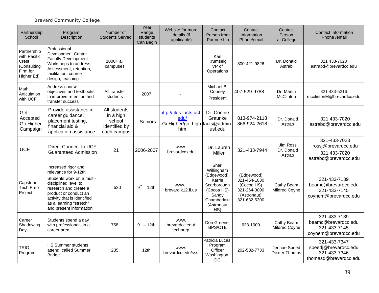| Partnership<br>School                                                         | Program<br>Description                                                                                                                                                                                                                  | Number of<br><b>Students Served</b>                                 | Year<br>Range<br>students<br>Can Begin | Website for more<br>details (if<br>applicable)                          | Contact<br>Person from<br>Partnership                                                                                  | Contact<br>Information<br>Phone/email                                                   | Contact<br>Person<br>at College       | <b>Contact Information</b><br>Phone /email                                    |
|-------------------------------------------------------------------------------|-----------------------------------------------------------------------------------------------------------------------------------------------------------------------------------------------------------------------------------------|---------------------------------------------------------------------|----------------------------------------|-------------------------------------------------------------------------|------------------------------------------------------------------------------------------------------------------------|-----------------------------------------------------------------------------------------|---------------------------------------|-------------------------------------------------------------------------------|
| Partnership<br>with Pacific<br>Crest<br>(Consulting<br>Firm for<br>Higher Ed) | Professional<br><b>Development Center</b><br><b>Faculty Development</b><br>Workshops to address<br>Assessment, retention,<br>facilitation, course<br>design, teaching                                                                   | $1000 + al$<br>campuses                                             |                                        |                                                                         | Karl<br>Krumseig<br>VP of<br>Operations                                                                                | 800-421-9826                                                                            | Dr. Donald<br>Astrab                  | 321 433-7020<br>astrabd@brevardcc.edu                                         |
| Math<br>Articulation<br>with UCF                                              | Address course<br>objectives and textbooks<br>to improve retention and<br>transfer success                                                                                                                                              | All transfer<br>students                                            | 2007                                   |                                                                         | Michael B.<br>Cooney<br>President                                                                                      | 407-529-9788                                                                            | Dr. Martin<br>McClinton               | 321 433-5216<br>mcclintonM@brevardcc.edu                                      |
| Get<br>Accepted<br>Go Higher<br>Campaign                                      | Provide assistance in<br>career guidance,<br>placement testing,<br>financial aid &<br>application assistance                                                                                                                            | All students<br>in a high<br>school<br>identified by<br>each campus | Seniors                                | http://files.facts.usf<br>edu/<br>GoHigher/go_high. facts@admin.<br>htm | Dr. Connie<br>Graunke<br>usf.edu                                                                                       | 813-974-2118<br>866-924-2618                                                            | Dr. Donald<br>Astrab                  | 321 433-7020<br>astrabd@brevardcc.edu                                         |
| <b>UCF</b>                                                                    | <b>Direct Connect to UCF</b><br><b>Guaranteed Admission</b>                                                                                                                                                                             | 21                                                                  | 2006-2007                              | www.<br>brevardcc.edu                                                   | Dr. Lauren<br>Miller                                                                                                   | 321-433-7944                                                                            | Jim Ross<br>Dr. Donald<br>Astrab      | 321-433-7023<br>rossj@brevardcc.edu<br>321 433-7020<br>astrabd@brevardcc.edu  |
| Capstone<br><b>Tech Prep</b><br>Project                                       | Increased rigor and<br>relevance for 9-12th<br>Students work on a multi-<br>disciplined level to<br>research and create a<br>product or conduct an<br>activity that is identified<br>as a learning "stretch"<br>and present information | 520                                                                 | $9^{th} - 12th$                        | www.<br>brevard.k12.fl.us                                               | Sheri<br>Willingham<br>(Edgewood),<br>Karrie<br>Scarborough<br>(Cocoa HS)<br>Sandy<br>Chamberlain<br>(Astronaut<br>HS) | (Edgewood)<br>321-454-1030<br>(Cocoa HS)<br>321-264-3000<br>(Astronaut)<br>321-632-5300 | Cathy Beam<br>Mildred Coyne           | 321-433-7139<br>beamc@brevardcc.edu<br>321-433-7145<br>coynem@brevardcc.edu   |
| Career<br>Shadowing<br>Day                                                    | Students spend a day<br>with professionals in a<br>career area                                                                                                                                                                          | 758                                                                 | $9^{th} - 12th$                        | www.<br>brevardcc.edu/<br>techprep                                      | Don Greene,<br><b>BPS/CTE</b>                                                                                          | 633-1000                                                                                | Cathy Beam<br>Mildred Coyne           | 321-433-7139<br>beamc@brevardcc.edu<br>321-433-7145<br>coynem@brevardcc.edu   |
| <b>TRIO</b><br>Program                                                        | <b>HS Summer students</b><br>attend: called Summer<br><b>Bridge</b>                                                                                                                                                                     | 235                                                                 | 12th                                   | www.<br>brevardcc.edu/sss                                               | Patricia Lucas,<br>Program<br>Officer<br>Washington,<br>DC                                                             | 202-502-7733                                                                            | Jerinae Speed<br><b>Dexter Thomas</b> | 321-433-7347<br>speedj@brevardcc.edu<br>321-433-7346<br>thomasd@brevardcc.edu |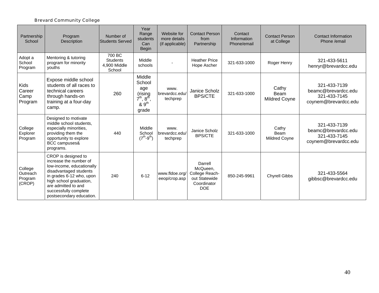| Partnership<br>School                    | Program<br>Description                                                                                                                                                                                                                  | Number of<br><b>Students Served</b>                 | Year<br>Range<br>students<br>Can<br><b>Begin</b>                                          | Website for<br>more details<br>(if applicable) | <b>Contact Person</b><br>from<br>Partnership                                        | Contact<br>Information<br>Phone/email | <b>Contact Person</b><br>at College   | Contact Information<br>Phone /email                                         |
|------------------------------------------|-----------------------------------------------------------------------------------------------------------------------------------------------------------------------------------------------------------------------------------------|-----------------------------------------------------|-------------------------------------------------------------------------------------------|------------------------------------------------|-------------------------------------------------------------------------------------|---------------------------------------|---------------------------------------|-----------------------------------------------------------------------------|
| Adopt a<br>School<br>Program             | Mentoring & tutoring<br>program for minority<br>vouths                                                                                                                                                                                  | 700 BC<br><b>Students</b><br>4,900 Middle<br>School | Middle<br>schools                                                                         |                                                | <b>Heather Price</b><br>Hope Ascher                                                 | 321-633-1000                          | Roger Henry                           | 321-433-5611<br>henryr@brevardcc.edu                                        |
| Kids<br>Career<br>Camp<br>Program        | Expose middle school<br>students of all races to<br>technical careers<br>through hands-on<br>training at a four-day<br>camp.                                                                                                            | 260                                                 | Middle<br>School<br>age<br>(rising<br>$7^{th}$ , $8^{th}$ ,<br>8.9 <sup>th</sup><br>grade | www.<br>brevardcc.edu/<br>techprep             | Janice Scholz<br><b>BPS/CTE</b>                                                     | 321-633-1000                          | Cathy<br><b>Beam</b><br>Mildred Coyne | 321-433-7139<br>beamc@brevardcc.edu<br>321-433-7145<br>coynem@brevardcc.edu |
| College<br>Explorer<br>Program           | Designed to motivate<br>middle school students,<br>especially minorities,<br>providing them the<br>opportunity to explore<br>BCC campuses&<br>programs.                                                                                 | 440                                                 | Middle<br>School<br>$(7^{th} - 9^{th})$                                                   | www.<br>brevardcc.edu/<br>techprep             | Janice Scholz<br><b>BPS/CTE</b>                                                     | 321-633-1000                          | Cathy<br><b>Beam</b><br>Mildred Coyne | 321-433-7139<br>beamc@brevardcc.edu<br>321-433-7145<br>coynem@brevardcc.edu |
| College<br>Outreach<br>Program<br>(CROP) | CROP is designed to<br>increase the number of<br>low-income, educationally<br>disadvantaged students<br>in grades 6-12 who, upon<br>high school graduation,<br>are admitted to and<br>successfully complete<br>postsecondary education. | 240                                                 | $6 - 12$                                                                                  | www.fldoe.org/<br>eeop/crop.asp                | Darrell<br>McQueen,<br>College Reach-<br>out Statewide<br>Coordinator<br><b>DOE</b> | 850-245-9961                          | <b>Chyrell Gibbs</b>                  | 321-433-5564<br>gibbsc@brevardcc.edu                                        |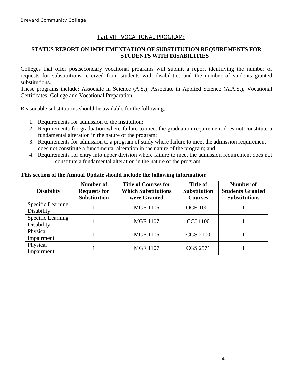#### Part VII: VOCATIONAL PROGRAM:

### <span id="page-40-0"></span>**STATUS REPORT ON IMPLEMENTATION OF SUBSTITUTION REQUIREMENTS FOR STUDENTS WITH DISABILITIES**

Colleges that offer postsecondary vocational programs will submit a report identifying the number of requests for substitutions received from students with disabilities and the number of students granted substitutions.

These programs include: Associate in Science (A.S.), Associate in Applied Science (A.A.S.), Vocational Certificates, College and Vocational Preparation.

Reasonable substitutions should be available for the following:

- 1. Requirements for admission to the institution;
- 2. Requirements for graduation where failure to meet the graduation requirement does not constitute a fundamental alteration in the nature of the program;
- 3. Requirements for admission to a program of study where failure to meet the admission requirement does not constitute a fundamental alteration in the nature of the program; and
- 4. Requirements for entry into upper division where failure to meet the admission requirement does not constitute a fundamental alteration in the nature of the program.

#### **This section of the Annual Update should include the following information:**

| <b>Disability</b>               | Number of<br><b>Requests for</b><br><b>Substitution</b> | <b>Title of Courses for</b><br><b>Which Substitutions</b><br>were Granted | <b>Title of</b><br><b>Substitution</b><br><b>Courses</b> | Number of<br><b>Students Granted</b><br><b>Substitutions</b> |
|---------------------------------|---------------------------------------------------------|---------------------------------------------------------------------------|----------------------------------------------------------|--------------------------------------------------------------|
| Specific Learning<br>Disability |                                                         | <b>MGF</b> 1106                                                           | <b>OCE 1001</b>                                          |                                                              |
| Specific Learning<br>Disability |                                                         | <b>MGF 1107</b>                                                           | <b>CCJ</b> 1100                                          |                                                              |
| Physical<br>Impairment          |                                                         | <b>MGF 1106</b>                                                           | <b>CGS 2100</b>                                          |                                                              |
| Physical<br>Impairment          |                                                         | <b>MGF 1107</b>                                                           | CGS 2571                                                 |                                                              |